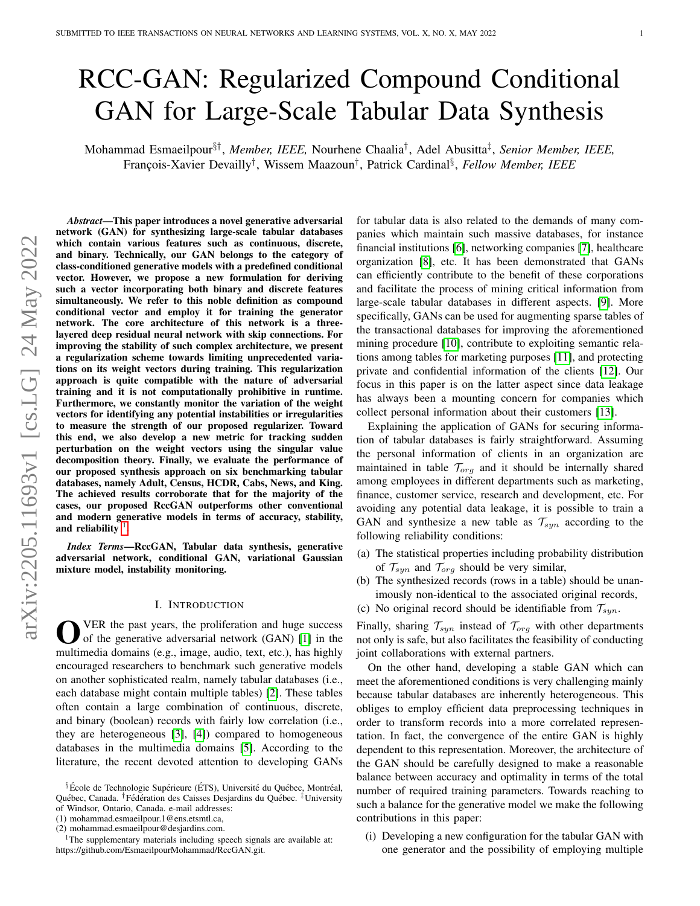# RCC-GAN: Regularized Compound Conditional GAN for Large-Scale Tabular Data Synthesis

Mohammad Esmaeilpour§† , *Member, IEEE,* Nourhene Chaalia† , Adel Abusitta‡ , *Senior Member, IEEE,* François-Xavier Devailly<sup>†</sup>, Wissem Maazoun<sup>†</sup>, Patrick Cardinal<sup>§</sup>, Fellow Member, IEEE

*Abstract*—This paper introduces a novel generative adversarial network (GAN) for synthesizing large-scale tabular databases which contain various features such as continuous, discrete, and binary. Technically, our GAN belongs to the category of class-conditioned generative models with a predefined conditional vector. However, we propose a new formulation for deriving such a vector incorporating both binary and discrete features simultaneously. We refer to this noble definition as compound conditional vector and employ it for training the generator network. The core architecture of this network is a threelayered deep residual neural network with skip connections. For improving the stability of such complex architecture, we present a regularization scheme towards limiting unprecedented variations on its weight vectors during training. This regularization approach is quite compatible with the nature of adversarial training and it is not computationally prohibitive in runtime. Furthermore, we constantly monitor the variation of the weight vectors for identifying any potential instabilities or irregularities to measure the strength of our proposed regularizer. Toward this end, we also develop a new metric for tracking sudden perturbation on the weight vectors using the singular value decomposition theory. Finally, we evaluate the performance of our proposed synthesis approach on six benchmarking tabular databases, namely Adult, Census, HCDR, Cabs, News, and King. The achieved results corroborate that for the majority of the cases, our proposed RccGAN outperforms other conventional and modern generative models in terms of accuracy, stability, and reliability  $\frac{1}{2}$  $\frac{1}{2}$  $\frac{1}{2}$ .

*Index Terms*—RccGAN, Tabular data synthesis, generative adversarial network, conditional GAN, variational Gaussian mixture model, instability monitoring.

#### I. INTRODUCTION

<span id="page-0-1"></span>**O** VER the past years, the proliferation and huge success of the generative adversarial network (GAN) [1] in the multimedia domains (e.g., image, audio, text, etc.), has highly VER the past years, the proliferation and huge success of the generative adversarial network (GAN) [\[1\]](#page-11-0) in the encouraged researchers to benchmark such generative models on another sophisticated realm, namely tabular databases (i.e., each database might contain multiple tables) [\[2\]](#page-11-1). These tables often contain a large combination of continuous, discrete, and binary (boolean) records with fairly low correlation (i.e., they are heterogeneous [\[3\]](#page-11-2), [\[4\]](#page-11-3)) compared to homogeneous databases in the multimedia domains [\[5\]](#page-11-4). According to the literature, the recent devoted attention to developing GANs

for tabular data is also related to the demands of many companies which maintain such massive databases, for instance financial institutions [\[6\]](#page-11-5), networking companies [\[7\]](#page-11-6), healthcare organization [\[8\]](#page-11-7), etc. It has been demonstrated that GANs can efficiently contribute to the benefit of these corporations and facilitate the process of mining critical information from large-scale tabular databases in different aspects. [\[9\]](#page-11-8). More specifically, GANs can be used for augmenting sparse tables of the transactional databases for improving the aforementioned mining procedure [\[10\]](#page-11-9), contribute to exploiting semantic relations among tables for marketing purposes [\[11\]](#page-12-0), and protecting private and confidential information of the clients [\[12\]](#page-12-1). Our focus in this paper is on the latter aspect since data leakage has always been a mounting concern for companies which collect personal information about their customers [\[13\]](#page-12-2).

Explaining the application of GANs for securing information of tabular databases is fairly straightforward. Assuming the personal information of clients in an organization are maintained in table  $\mathcal{T}_{org}$  and it should be internally shared among employees in different departments such as marketing, finance, customer service, research and development, etc. For avoiding any potential data leakage, it is possible to train a GAN and synthesize a new table as  $\mathcal{T}_{syn}$  according to the following reliability conditions:

- (a) The statistical properties including probability distribution of  $\mathcal{T}_{syn}$  and  $\mathcal{T}_{org}$  should be very similar,
- (b) The synthesized records (rows in a table) should be unanimously non-identical to the associated original records,
- (c) No original record should be identifiable from  $\mathcal{T}_{syn}$ .

Finally, sharing  $\mathcal{T}_{syn}$  instead of  $\mathcal{T}_{org}$  with other departments not only is safe, but also facilitates the feasibility of conducting joint collaborations with external partners.

On the other hand, developing a stable GAN which can meet the aforementioned conditions is very challenging mainly because tabular databases are inherently heterogeneous. This obliges to employ efficient data preprocessing techniques in order to transform records into a more correlated representation. In fact, the convergence of the entire GAN is highly dependent to this representation. Moreover, the architecture of the GAN should be carefully designed to make a reasonable balance between accuracy and optimality in terms of the total number of required training parameters. Towards reaching to such a balance for the generative model we make the following contributions in this paper:

(i) Developing a new configuration for the tabular GAN with one generator and the possibility of employing multiple

<sup>§</sup>École de Technologie Supérieure (ÉTS), Université du Québec, Montréal, Québec, Canada. <sup>†</sup> Fédération des Caisses Desjardins du Québec. <sup>‡</sup>University of Windsor, Ontario, Canada. e-mail addresses:

<sup>(1)</sup> mohammad.esmaeilpour.1@ens.etsmtl.ca,

<sup>(2)</sup> mohammad.esmaeilpour@desjardins.com.

<span id="page-0-0"></span><sup>&</sup>lt;sup>1</sup>The supplementary materials including speech signals are available at: https://github.com/EsmaeilpourMohammad/RccGAN.git.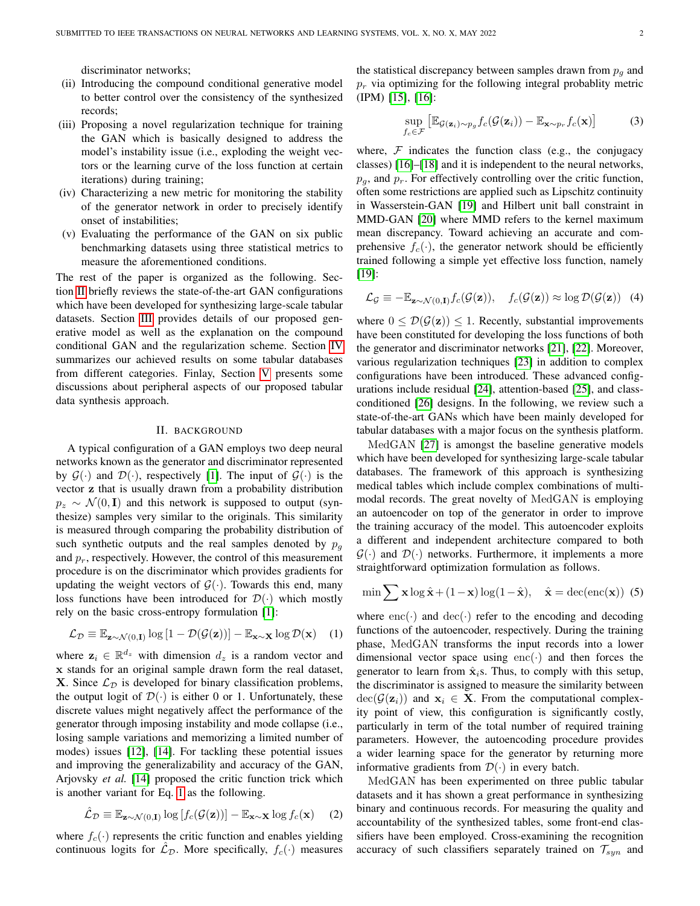discriminator networks;

- (ii) Introducing the compound conditional generative model to better control over the consistency of the synthesized records;
- (iii) Proposing a novel regularization technique for training the GAN which is basically designed to address the model's instability issue (i.e., exploding the weight vectors or the learning curve of the loss function at certain iterations) during training;
- (iv) Characterizing a new metric for monitoring the stability of the generator network in order to precisely identify onset of instabilities;
- (v) Evaluating the performance of the GAN on six public benchmarking datasets using three statistical metrics to measure the aforementioned conditions.

The rest of the paper is organized as the following. Section [II](#page-1-0) briefly reviews the state-of-the-art GAN configurations which have been developed for synthesizing large-scale tabular datasets. Section [III](#page-3-0) provides details of our proposed generative model as well as the explanation on the compound conditional GAN and the regularization scheme. Section [IV](#page-6-0) summarizes our achieved results on some tabular databases from different categories. Finlay, Section [V](#page-10-0) presents some discussions about peripheral aspects of our proposed tabular data synthesis approach.

#### II. BACKGROUND

<span id="page-1-0"></span>A typical configuration of a GAN employs two deep neural networks known as the generator and discriminator represented by  $\mathcal{G}(\cdot)$  and  $\mathcal{D}(\cdot)$ , respectively [\[1\]](#page-11-0). The input of  $\mathcal{G}(\cdot)$  is the vector z that is usually drawn from a probability distribution  $p_z \sim \mathcal{N}(0, I)$  and this network is supposed to output (synthesize) samples very similar to the originals. This similarity is measured through comparing the probability distribution of such synthetic outputs and the real samples denoted by  $p<sub>q</sub>$ and  $p_r$ , respectively. However, the control of this measurement procedure is on the discriminator which provides gradients for updating the weight vectors of  $\mathcal{G}(\cdot)$ . Towards this end, many loss functions have been introduced for  $\mathcal{D}(\cdot)$  which mostly rely on the basic cross-entropy formulation [\[1\]](#page-11-0):

$$
\mathcal{L}_{\mathcal{D}} \equiv \mathbb{E}_{\mathbf{z} \sim \mathcal{N}(0, \mathbf{I})} \log \left[ 1 - \mathcal{D}(\mathcal{G}(\mathbf{z})) \right] - \mathbb{E}_{\mathbf{x} \sim \mathbf{X}} \log \mathcal{D}(\mathbf{x}) \quad (1)
$$

where  $z_i \in \mathbb{R}^{d_z}$  with dimension  $d_z$  is a random vector and x stands for an original sample drawn form the real dataset, **X**. Since  $\mathcal{L}_{\mathcal{D}}$  is developed for binary classification problems, the output logit of  $\mathcal{D}(\cdot)$  is either 0 or 1. Unfortunately, these discrete values might negatively affect the performance of the generator through imposing instability and mode collapse (i.e., losing sample variations and memorizing a limited number of modes) issues [\[12\]](#page-12-1), [\[14\]](#page-12-3). For tackling these potential issues and improving the generalizability and accuracy of the GAN, Arjovsky *et al.* [\[14\]](#page-12-3) proposed the critic function trick which is another variant for Eq. [1](#page-1-1) as the following.

$$
\hat{\mathcal{L}}_{\mathcal{D}} \equiv \mathbb{E}_{\mathbf{z} \sim \mathcal{N}(0,\mathbf{I})} \log \left[ f_c(\mathcal{G}(\mathbf{z})) \right] - \mathbb{E}_{\mathbf{x} \sim \mathbf{X}} \log f_c(\mathbf{x}) \tag{2}
$$

where  $f_c(\cdot)$  represents the critic function and enables yielding continuous logits for  $\mathcal{L}_{\mathcal{D}}$ . More specifically,  $f_c(\cdot)$  measures the statistical discrepancy between samples drawn from  $p<sub>q</sub>$  and  $p_r$  via optimizing for the following integral probablity metric (IPM) [\[15\]](#page-12-4), [\[16\]](#page-12-5):

<span id="page-1-2"></span>
$$
\sup_{f_c \in \mathcal{F}} \left[ \mathbb{E}_{\mathcal{G}(\mathbf{z}_i) \sim p_g} f_c(\mathcal{G}(\mathbf{z}_i)) - \mathbb{E}_{\mathbf{x} \sim p_r} f_c(\mathbf{x}) \right]
$$
(3)

where,  $F$  indicates the function class (e.g., the conjugacy classes) [\[16\]](#page-12-5)–[\[18\]](#page-12-6) and it is independent to the neural networks,  $p<sub>g</sub>$ , and  $p<sub>r</sub>$ . For effectively controlling over the critic function, often some restrictions are applied such as Lipschitz continuity in Wasserstein-GAN [\[19\]](#page-12-7) and Hilbert unit ball constraint in MMD-GAN [\[20\]](#page-12-8) where MMD refers to the kernel maximum mean discrepancy. Toward achieving an accurate and comprehensive  $f_c(\cdot)$ , the generator network should be efficiently trained following a simple yet effective loss function, namely [\[19\]](#page-12-7):

$$
\mathcal{L}_{\mathcal{G}} \equiv -\mathbb{E}_{\mathbf{z}\sim\mathcal{N}(0,\mathbf{I})} f_c(\mathcal{G}(\mathbf{z})), \quad f_c(\mathcal{G}(\mathbf{z})) \approx \log \mathcal{D}(\mathcal{G}(\mathbf{z})) \quad (4)
$$

where  $0 \leq \mathcal{D}(\mathcal{G}(\mathbf{z})) \leq 1$ . Recently, substantial improvements have been constituted for developing the loss functions of both the generator and discriminator networks [\[21\]](#page-12-9), [\[22\]](#page-12-10). Moreover, various regularization techniques [\[23\]](#page-12-11) in addition to complex configurations have been introduced. These advanced configurations include residual [\[24\]](#page-12-12), attention-based [\[25\]](#page-12-13), and classconditioned [\[26\]](#page-12-14) designs. In the following, we review such a state-of-the-art GANs which have been mainly developed for tabular databases with a major focus on the synthesis platform.

MedGAN [\[27\]](#page-12-15) is amongst the baseline generative models which have been developed for synthesizing large-scale tabular databases. The framework of this approach is synthesizing medical tables which include complex combinations of multimodal records. The great novelty of MedGAN is employing an autoencoder on top of the generator in order to improve the training accuracy of the model. This autoencoder exploits a different and independent architecture compared to both  $\mathcal{G}(\cdot)$  and  $\mathcal{D}(\cdot)$  networks. Furthermore, it implements a more straightforward optimization formulation as follows.

$$
\min \sum \mathbf{x} \log \hat{\mathbf{x}} + (1 - \mathbf{x}) \log(1 - \hat{\mathbf{x}}), \quad \hat{\mathbf{x}} = \text{dec}(\text{enc}(\mathbf{x})) \tag{5}
$$

<span id="page-1-1"></span>where  $enc(\cdot)$  and  $dec(\cdot)$  refer to the encoding and decoding functions of the autoencoder, respectively. During the training phase, MedGAN transforms the input records into a lower dimensional vector space using  $enc(\cdot)$  and then forces the generator to learn from  $\hat{\mathbf{x}}_i$ s. Thus, to comply with this setup, the discriminator is assigned to measure the similarity between  $dec(\mathcal{G}(\mathbf{z}_i))$  and  $\mathbf{x}_i \in \mathbf{X}$ . From the computational complexity point of view, this configuration is significantly costly, particularly in term of the total number of required training parameters. However, the autoencoding procedure provides a wider learning space for the generator by returning more informative gradients from  $\mathcal{D}(\cdot)$  in every batch.

MedGAN has been experimented on three public tabular datasets and it has shown a great performance in synthesizing binary and continuous records. For measuring the quality and accountability of the synthesized tables, some front-end classifiers have been employed. Cross-examining the recognition accuracy of such classifiers separately trained on  $\mathcal{T}_{syn}$  and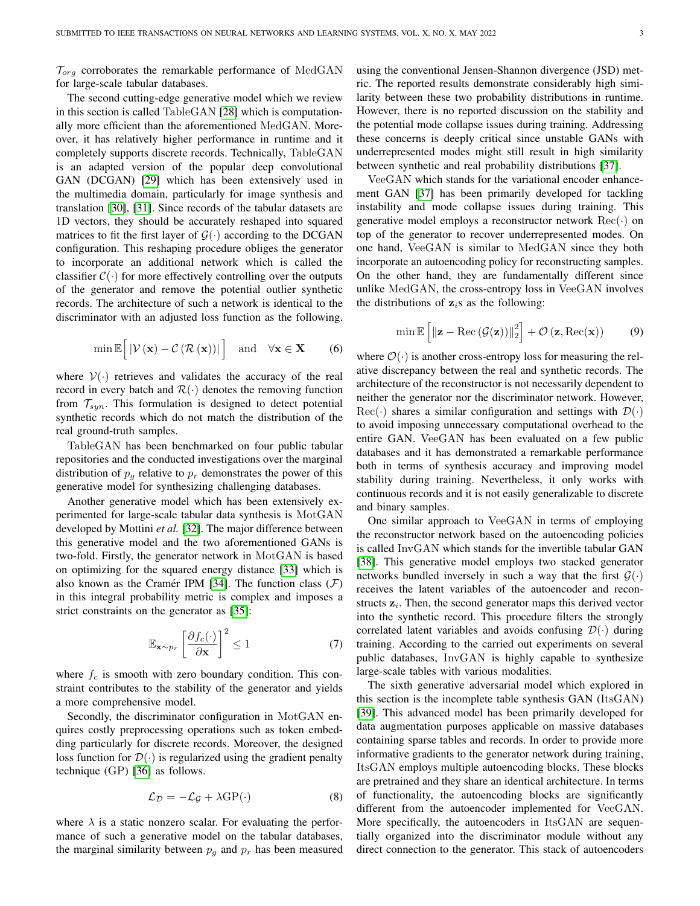$\mathcal{T}_{ora}$  corroborates the remarkable performance of MedGAN for large-scale tabular databases.

The second cutting-edge generative model which we review in this section is called TableGAN [\[28\]](#page-12-16) which is computationally more efficient than the aforementioned MedGAN. Moreover, it has relatively higher performance in runtime and it completely supports discrete records. Technically, TableGAN is an adapted version of the popular deep convolutional GAN (DCGAN) [\[29\]](#page-12-17) which has been extensively used in the multimedia domain, particularly for image synthesis and translation [\[30\]](#page-12-18), [\[31\]](#page-12-19). Since records of the tabular datasets are 1D vectors, they should be accurately reshaped into squared matrices to fit the first layer of  $\mathcal{G}(\cdot)$  according to the DCGAN configuration. This reshaping procedure obliges the generator to incorporate an additional network which is called the classifier  $C(\cdot)$  for more effectively controlling over the outputs of the generator and remove the potential outlier synthetic records. The architecture of such a network is identical to the discriminator with an adjusted loss function as the following.

$$
\min \mathbb{E}\Big[\left|\mathcal{V}\left(\mathbf{x}\right)-\mathcal{C}\left(\mathcal{R}\left(\mathbf{x}\right)\right)\right|\Big]\quad \text{and}\quad \forall \mathbf{x}\in \mathbf{X}\qquad (6)
$$

where  $V(\cdot)$  retrieves and validates the accuracy of the real record in every batch and  $\mathcal{R}(\cdot)$  denotes the removing function from  $\mathcal{T}_{sun}$ . This formulation is designed to detect potential synthetic records which do not match the distribution of the real ground-truth samples.

TableGAN has been benchmarked on four public tabular repositories and the conducted investigations over the marginal distribution of  $p_q$  relative to  $p_r$  demonstrates the power of this generative model for synthesizing challenging databases.

Another generative model which has been extensively experimented for large-scale tabular data synthesis is MotGAN developed by Mottini *et al.* [\[32\]](#page-12-20). The major difference between this generative model and the two aforementioned GANs is two-fold. Firstly, the generator network in MotGAN is based on optimizing for the squared energy distance [\[33\]](#page-12-21) which is also known as the Cramér IPM [\[34\]](#page-12-22). The function class  $(F)$ in this integral probability metric is complex and imposes a strict constraints on the generator as [\[35\]](#page-12-23):

$$
\mathbb{E}_{\mathbf{x} \sim p_r} \left[ \frac{\partial f_c(\cdot)}{\partial \mathbf{x}} \right]^2 \le 1 \tag{7}
$$

where  $f_c$  is smooth with zero boundary condition. This constraint contributes to the stability of the generator and yields a more comprehensive model.

Secondly, the discriminator configuration in MotGAN enquires costly preprocessing operations such as token embedding particularly for discrete records. Moreover, the designed loss function for  $\mathcal{D}(\cdot)$  is regularized using the gradient penalty technique (GP) [\[36\]](#page-12-24) as follows.

$$
\mathcal{L}_{\mathcal{D}} = -\mathcal{L}_{\mathcal{G}} + \lambda \text{GP}(\cdot) \tag{8}
$$

where  $\lambda$  is a static nonzero scalar. For evaluating the performance of such a generative model on the tabular databases, the marginal similarity between  $p_q$  and  $p_r$  has been measured using the conventional Jensen-Shannon divergence (JSD) metric. The reported results demonstrate considerably high similarity between these two probability distributions in runtime. However, there is no reported discussion on the stability and the potential mode collapse issues during training. Addressing these concerns is deeply critical since unstable GANs with underrepresented modes might still result in high similarity between synthetic and real probability distributions [\[37\]](#page-12-25).

VeeGAN which stands for the variational encoder enhancement GAN [\[37\]](#page-12-25) has been primarily developed for tackling instability and mode collapse issues during training. This generative model employs a reconstructor network  $\text{Rec}(\cdot)$  on top of the generator to recover underrepresented modes. On one hand, VeeGAN is similar to MedGAN since they both incorporate an autoencoding policy for reconstructing samples. On the other hand, they are fundamentally different since unlike MedGAN, the cross-entropy loss in VeeGAN involves the distributions of  $z_i$ s as the following:

$$
\min \mathbb{E}\left[\left\|\mathbf{z} - \text{Rec}\left(\mathcal{G}(\mathbf{z})\right)\right\|_2^2\right] + \mathcal{O}\left(\mathbf{z}, \text{Rec}(\mathbf{x})\right) \tag{9}
$$

where  $\mathcal{O}(\cdot)$  is another cross-entropy loss for measuring the relative discrepancy between the real and synthetic records. The architecture of the reconstructor is not necessarily dependent to neither the generator nor the discriminator network. However,  $Rec(\cdot)$  shares a similar configuration and settings with  $\mathcal{D}(\cdot)$ to avoid imposing unnecessary computational overhead to the entire GAN. VeeGAN has been evaluated on a few public databases and it has demonstrated a remarkable performance both in terms of synthesis accuracy and improving model stability during training. Nevertheless, it only works with continuous records and it is not easily generalizable to discrete and binary samples.

One similar approach to VeeGAN in terms of employing the reconstructor network based on the autoencoding policies is called InvGAN which stands for the invertible tabular GAN [\[38\]](#page-12-26). This generative model employs two stacked generator networks bundled inversely in such a way that the first  $G(\cdot)$ receives the latent variables of the autoencoder and reconstructs  $z_i$ . Then, the second generator maps this derived vector into the synthetic record. This procedure filters the strongly correlated latent variables and avoids confusing  $\mathcal{D}(\cdot)$  during training. According to the carried out experiments on several public databases, InvGAN is highly capable to synthesize large-scale tables with various modalities.

The sixth generative adversarial model which explored in this section is the incomplete table synthesis GAN (ItsGAN) [\[39\]](#page-12-27). This advanced model has been primarily developed for data augmentation purposes applicable on massive databases containing sparse tables and records. In order to provide more informative gradients to the generator network during training, ItsGAN employs multiple autoencoding blocks. These blocks are pretrained and they share an identical architecture. In terms of functionality, the autoencoding blocks are significantly different from the autoencoder implemented for VeeGAN. More specifically, the autoencoders in ItsGAN are sequentially organized into the discriminator module without any direct connection to the generator. This stack of autoencoders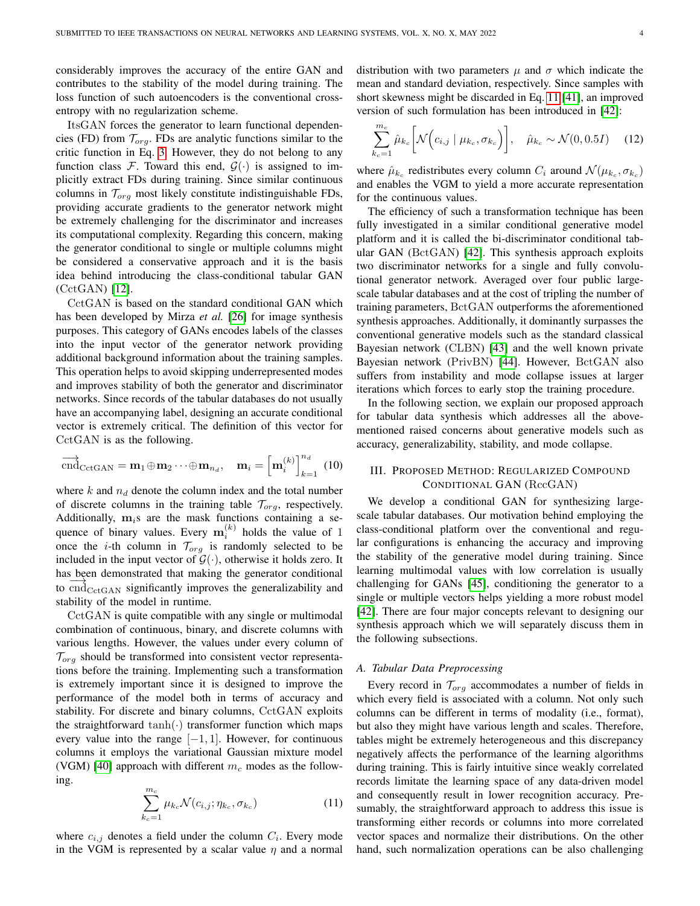considerably improves the accuracy of the entire GAN and contributes to the stability of the model during training. The loss function of such autoencoders is the conventional crossentropy with no regularization scheme.

ItsGAN forces the generator to learn functional dependencies (FD) from  $\mathcal{T}_{org}$ . FDs are analytic functions similar to the critic function in Eq. [3.](#page-1-2) However, they do not belong to any function class F. Toward this end,  $\mathcal{G}(\cdot)$  is assigned to implicitly extract FDs during training. Since similar continuous columns in  $\mathcal{T}_{org}$  most likely constitute indistinguishable FDs, providing accurate gradients to the generator network might be extremely challenging for the discriminator and increases its computational complexity. Regarding this concern, making the generator conditional to single or multiple columns might be considered a conservative approach and it is the basis idea behind introducing the class-conditional tabular GAN (CctGAN) [\[12\]](#page-12-1).

CctGAN is based on the standard conditional GAN which has been developed by Mirza *et al.* [\[26\]](#page-12-14) for image synthesis purposes. This category of GANs encodes labels of the classes into the input vector of the generator network providing additional background information about the training samples. This operation helps to avoid skipping underrepresented modes and improves stability of both the generator and discriminator networks. Since records of the tabular databases do not usually have an accompanying label, designing an accurate conditional vector is extremely critical. The definition of this vector for CctGAN is as the following.

<span id="page-3-2"></span>
$$
\overrightarrow{\text{cnd}}_{\text{CctGAN}} = \mathbf{m}_1 \oplus \mathbf{m}_2 \cdots \oplus \mathbf{m}_{n_d}, \quad \mathbf{m}_i = \left[ \mathbf{m}_i^{(k)} \right]_{k=1}^{n_d} (10)
$$

where  $k$  and  $n_d$  denote the column index and the total number of discrete columns in the training table  $\mathcal{T}_{org}$ , respectively. Additionally,  $m_i s$  are the mask functions containing a sequence of binary values. Every  $\mathbf{m}_i^{(k)}$  holds the value of 1 once the *i*-th column in  $\mathcal{T}_{org}$  is randomly selected to be included in the input vector of  $\mathcal{G}(\cdot)$ , otherwise it holds zero. It has been demonstrated that making the generator conditional  $\frac{1}{\text{cos}\omega}$  to  $\frac{1}{\text{cos}\omega}$  significantly improves the generalizability and stability of the model in runtime.

CctGAN is quite compatible with any single or multimodal combination of continuous, binary, and discrete columns with various lengths. However, the values under every column of  $\mathcal{T}_{\text{org}}$  should be transformed into consistent vector representations before the training. Implementing such a transformation is extremely important since it is designed to improve the performance of the model both in terms of accuracy and stability. For discrete and binary columns, CctGAN exploits the straightforward  $tanh(\cdot)$  transformer function which maps every value into the range  $[-1, 1]$ . However, for continuous columns it employs the variational Gaussian mixture model (VGM) [\[40\]](#page-12-28) approach with different  $m_c$  modes as the following.

<span id="page-3-1"></span>
$$
\sum_{k_c=1}^{m_c} \mu_{k_c} \mathcal{N}(c_{i,j}; \eta_{k_c}, \sigma_{k_c}) \tag{11}
$$

where  $c_{i,j}$  denotes a field under the column  $C_i$ . Every mode in the VGM is represented by a scalar value  $\eta$  and a normal distribution with two parameters  $\mu$  and  $\sigma$  which indicate the mean and standard deviation, respectively. Since samples with short skewness might be discarded in Eq. [11](#page-3-1) [\[41\]](#page-12-29), an improved version of such formulation has been introduced in [\[42\]](#page-12-30):

$$
\sum_{k_c=1}^{m_c} \hat{\mu}_{k_c} \left[ \mathcal{N} \left( c_{i,j} \mid \mu_{k_c}, \sigma_{k_c} \right) \right], \quad \hat{\mu}_{k_c} \sim \mathcal{N}(0, 0.5I) \quad (12)
$$

where  $\hat{\mu}_{k_c}$  redistributes every column  $C_i$  around  $\mathcal{N}(\mu_{k_c}, \sigma_{k_c})$ and enables the VGM to yield a more accurate representation for the continuous values.

The efficiency of such a transformation technique has been fully investigated in a similar conditional generative model platform and it is called the bi-discriminator conditional tabular GAN (BctGAN) [\[42\]](#page-12-30). This synthesis approach exploits two discriminator networks for a single and fully convolutional generator network. Averaged over four public largescale tabular databases and at the cost of tripling the number of training parameters, BctGAN outperforms the aforementioned synthesis approaches. Additionally, it dominantly surpasses the conventional generative models such as the standard classical Bayesian network (CLBN) [\[43\]](#page-12-31) and the well known private Bayesian network (PrivBN) [\[44\]](#page-12-32). However, BctGAN also suffers from instability and mode collapse issues at larger iterations which forces to early stop the training procedure.

In the following section, we explain our proposed approach for tabular data synthesis which addresses all the abovementioned raised concerns about generative models such as accuracy, generalizability, stability, and mode collapse.

## <span id="page-3-0"></span>III. PROPOSED METHOD: REGULARIZED COMPOUND CONDITIONAL GAN (RccGAN)

We develop a conditional GAN for synthesizing largescale tabular databases. Our motivation behind employing the class-conditional platform over the conventional and regular configurations is enhancing the accuracy and improving the stability of the generative model during training. Since learning multimodal values with low correlation is usually challenging for GANs [\[45\]](#page-12-33), conditioning the generator to a single or multiple vectors helps yielding a more robust model [\[42\]](#page-12-30). There are four major concepts relevant to designing our synthesis approach which we will separately discuss them in the following subsections.

## <span id="page-3-3"></span>*A. Tabular Data Preprocessing*

Every record in  $\mathcal{T}_{org}$  accommodates a number of fields in which every field is associated with a column. Not only such columns can be different in terms of modality (i.e., format), but also they might have various length and scales. Therefore, tables might be extremely heterogeneous and this discrepancy negatively affects the performance of the learning algorithms during training. This is fairly intuitive since weakly correlated records limitate the learning space of any data-driven model and consequently result in lower recognition accuracy. Presumably, the straightforward approach to address this issue is transforming either records or columns into more correlated vector spaces and normalize their distributions. On the other hand, such normalization operations can be also challenging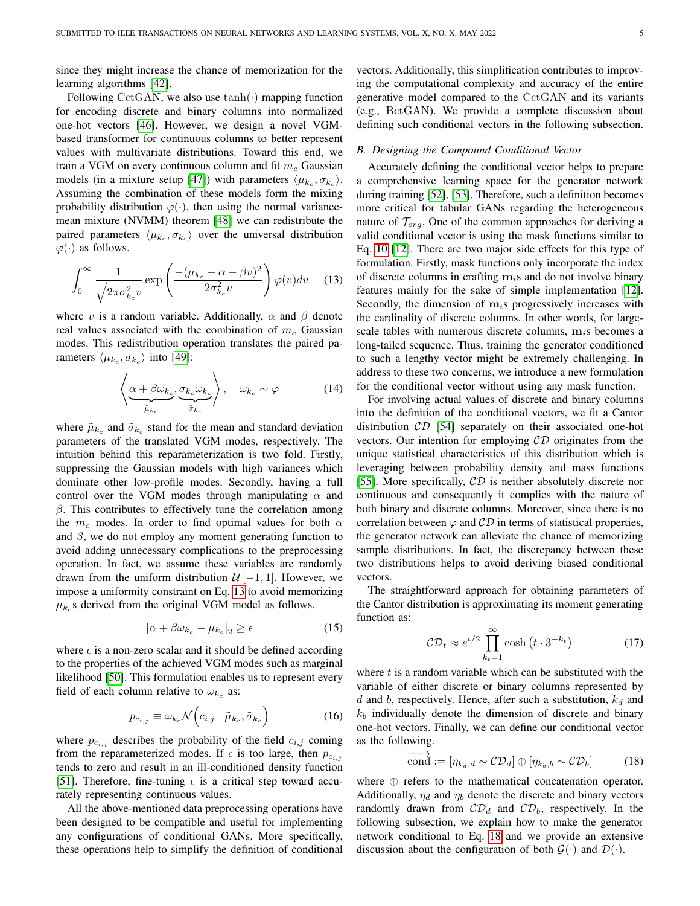since they might increase the chance of memorization for the learning algorithms [\[42\]](#page-12-30).

Following CctGAN, we also use  $tanh(\cdot)$  mapping function for encoding discrete and binary columns into normalized one-hot vectors [\[46\]](#page-12-34). However, we design a novel VGMbased transformer for continuous columns to better represent values with multivariate distributions. Toward this end, we train a VGM on every continuous column and fit  $m_c$  Gaussian models (in a mixture setup [\[47\]](#page-12-35)) with parameters  $\langle \mu_{k_c}, \sigma_{k_c} \rangle$ . Assuming the combination of these models form the mixing probability distribution  $\varphi(\cdot)$ , then using the normal variancemean mixture (NVMM) theorem [\[48\]](#page-12-36) we can redistribute the paired parameters  $\langle \mu_{k_c}, \sigma_{k_c} \rangle$  over the universal distribution  $\varphi(\cdot)$  as follows.

<span id="page-4-0"></span>
$$
\int_0^\infty \frac{1}{\sqrt{2\pi\sigma_{k_c}^2 v}} \exp\left(\frac{-(\mu_{k_c} - \alpha - \beta v)^2}{2\sigma_{k_c}^2 v}\right) \varphi(v) dv \quad (13)
$$

where v is a random variable. Additionally,  $\alpha$  and  $\beta$  denote real values associated with the combination of  $m_c$  Gaussian modes. This redistribution operation translates the paired parameters  $\langle \mu_{k_c}, \sigma_{k_c} \rangle$  into [\[49\]](#page-12-37):

$$
\left\langle \underbrace{\alpha + \beta \omega_{k_c}}_{\tilde{\mu}_{k_c}}, \underbrace{\sigma_{k_c} \omega_{k_c}}_{\tilde{\sigma}_{k_c}} \right\rangle, \quad \omega_{k_c} \sim \varphi \tag{14}
$$

where  $\tilde{\mu}_{k_c}$  and  $\tilde{\sigma}_{k_c}$  stand for the mean and standard deviation parameters of the translated VGM modes, respectively. The intuition behind this reparameterization is two fold. Firstly, suppressing the Gaussian models with high variances which dominate other low-profile modes. Secondly, having a full control over the VGM modes through manipulating  $\alpha$  and  $\beta$ . This contributes to effectively tune the correlation among the  $m_c$  modes. In order to find optimal values for both  $\alpha$ and  $\beta$ , we do not employ any moment generating function to avoid adding unnecessary complications to the preprocessing operation. In fact, we assume these variables are randomly drawn from the uniform distribution  $\mathcal{U}[-1,1]$ . However, we impose a uniformity constraint on Eq. [13](#page-4-0) to avoid memorizing  $\mu_{k_c}$ s derived from the original VGM model as follows.

$$
|\alpha + \beta \omega_{k_c} - \mu_{k_c}|_2 \ge \epsilon \tag{15}
$$

where  $\epsilon$  is a non-zero scalar and it should be defined according to the properties of the achieved VGM modes such as marginal likelihood [\[50\]](#page-12-38). This formulation enables us to represent every field of each column relative to  $\omega_{k_c}$  as:

$$
p_{c_{i,j}} \equiv \omega_{k_c} \mathcal{N}\Big(c_{i,j} \mid \tilde{\mu}_{k_c}, \tilde{\sigma}_{k_c}\Big) \tag{16}
$$

where  $p_{c_{i,j}}$  describes the probability of the field  $c_{i,j}$  coming from the reparameterized modes. If  $\epsilon$  is too large, then  $p_{c_{i,j}}$ tends to zero and result in an ill-conditioned density function [\[51\]](#page-12-39). Therefore, fine-tuning  $\epsilon$  is a critical step toward accurately representing continuous values.

All the above-mentioned data preprocessing operations have been designed to be compatible and useful for implementing any configurations of conditional GANs. More specifically, these operations help to simplify the definition of conditional vectors. Additionally, this simplification contributes to improving the computational complexity and accuracy of the entire generative model compared to the CctGAN and its variants (e.g., BctGAN). We provide a complete discussion about defining such conditional vectors in the following subsection.

## *B. Designing the Compound Conditional Vector*

Accurately defining the conditional vector helps to prepare a comprehensive learning space for the generator network during training [\[52\]](#page-12-40), [\[53\]](#page-12-41). Therefore, such a definition becomes more critical for tabular GANs regarding the heterogeneous nature of  $\mathcal{T}_{ora}$ . One of the common approaches for deriving a valid conditional vector is using the mask functions similar to Eq. [10](#page-3-2) [\[12\]](#page-12-1). There are two major side effects for this type of formulation. Firstly, mask functions only incorporate the index of discrete columns in crafting  $m_i$ s and do not involve binary features mainly for the sake of simple implementation [\[12\]](#page-12-1). Secondly, the dimension of  $m_i$ s progressively increases with the cardinality of discrete columns. In other words, for largescale tables with numerous discrete columns,  $m_i$ s becomes a long-tailed sequence. Thus, training the generator conditioned to such a lengthy vector might be extremely challenging. In address to these two concerns, we introduce a new formulation for the conditional vector without using any mask function.

For involving actual values of discrete and binary columns into the definition of the conditional vectors, we fit a Cantor distribution CD [\[54\]](#page-12-42) separately on their associated one-hot vectors. Our intention for employing  $CD$  originates from the unique statistical characteristics of this distribution which is leveraging between probability density and mass functions [\[55\]](#page-12-43). More specifically,  $CD$  is neither absolutely discrete nor continuous and consequently it complies with the nature of both binary and discrete columns. Moreover, since there is no correlation between  $\varphi$  and  $\mathcal{CD}$  in terms of statistical properties, the generator network can alleviate the chance of memorizing sample distributions. In fact, the discrepancy between these two distributions helps to avoid deriving biased conditional vectors.

<span id="page-4-2"></span>The straightforward approach for obtaining parameters of the Cantor distribution is approximating its moment generating function as:

$$
CD_t \approx e^{t/2} \prod_{k_t=1}^{\infty} \cosh\left(t \cdot 3^{-k_t}\right) \tag{17}
$$

<span id="page-4-3"></span>where  $t$  is a random variable which can be substituted with the variable of either discrete or binary columns represented by d and b, respectively. Hence, after such a substitution,  $k_d$  and  $k_b$  individually denote the dimension of discrete and binary one-hot vectors. Finally, we can define our conditional vector as the following.

<span id="page-4-1"></span>
$$
\overrightarrow{\text{cond}} := [\eta_{k_d,d} \sim \mathcal{CD}_d] \oplus [\eta_{k_b,b} \sim \mathcal{CD}_b]
$$
 (18)

where ⊕ refers to the mathematical concatenation operator. Additionally,  $\eta_d$  and  $\eta_b$  denote the discrete and binary vectors randomly drawn from  $CD_d$  and  $CD_b$ , respectively. In the following subsection, we explain how to make the generator network conditional to Eq. [18](#page-4-1) and we provide an extensive discussion about the configuration of both  $G(\cdot)$  and  $\mathcal{D}(\cdot)$ .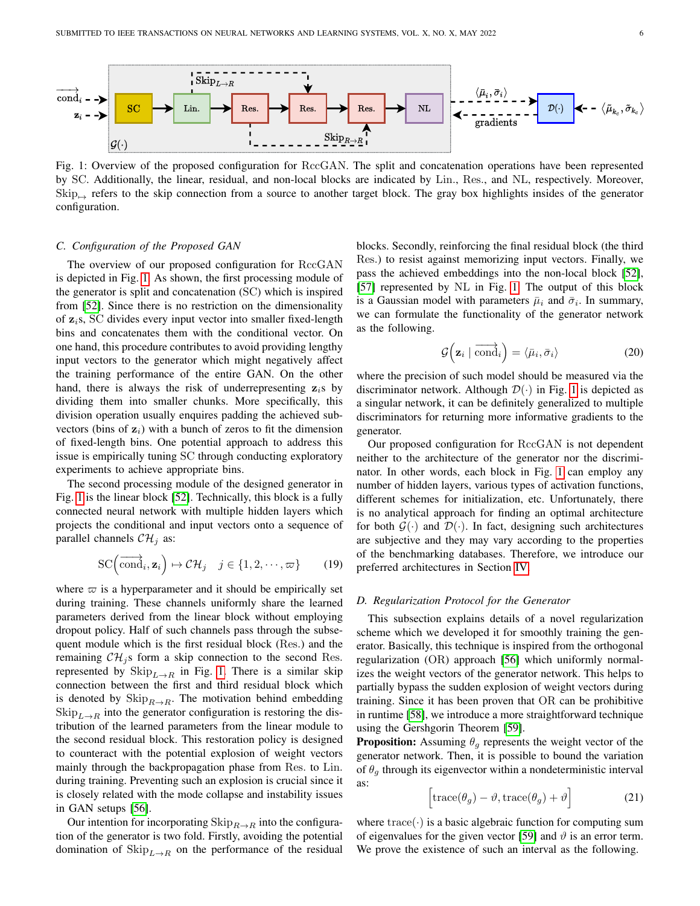<span id="page-5-0"></span>

Fig. 1: Overview of the proposed configuration for RccGAN. The split and concatenation operations have been represented by SC. Additionally, the linear, residual, and non-local blocks are indicated by Lin., Res., and NL, respectively. Moreover,  $\text{Skip}_{\text{in}}$  refers to the skip connection from a source to another target block. The gray box highlights insides of the generator configuration.

## *C. Configuration of the Proposed GAN*

The overview of our proposed configuration for RccGAN is depicted in Fig. [1.](#page-5-0) As shown, the first processing module of the generator is split and concatenation (SC) which is inspired from [\[52\]](#page-12-40). Since there is no restriction on the dimensionality of  $z_i$ s, SC divides every input vector into smaller fixed-length bins and concatenates them with the conditional vector. On one hand, this procedure contributes to avoid providing lengthy input vectors to the generator which might negatively affect the training performance of the entire GAN. On the other hand, there is always the risk of underrepresenting  $z_i$ s by dividing them into smaller chunks. More specifically, this division operation usually enquires padding the achieved subvectors (bins of  $z_i$ ) with a bunch of zeros to fit the dimension of fixed-length bins. One potential approach to address this issue is empirically tuning SC through conducting exploratory experiments to achieve appropriate bins.

The second processing module of the designed generator in Fig. [1](#page-5-0) is the linear block [\[52\]](#page-12-40). Technically, this block is a fully connected neural network with multiple hidden layers which projects the conditional and input vectors onto a sequence of parallel channels  $\mathcal{CH}_j$  as:

$$
\mathrm{SC}\left(\overrightarrow{\mathrm{cond}}_i, \mathbf{z}_i\right) \mapsto \mathcal{CH}_j \quad j \in \{1, 2, \cdots, \varpi\} \qquad (19)
$$

where  $\varpi$  is a hyperparameter and it should be empirically set during training. These channels uniformly share the learned parameters derived from the linear block without employing dropout policy. Half of such channels pass through the subsequent module which is the first residual block (Res.) and the remaining  $\mathcal{CH}_i$  s form a skip connection to the second Res. represented by  $\text{Skip}_{L\to R}$  in Fig. [1.](#page-5-0) There is a similar skip connection between the first and third residual block which is denoted by  $\text{Skip}_{R\to R}$ . The motivation behind embedding  $\text{Skip}_{L\to R}$  into the generator configuration is restoring the distribution of the learned parameters from the linear module to the second residual block. This restoration policy is designed to counteract with the potential explosion of weight vectors mainly through the backpropagation phase from Res. to Lin. during training. Preventing such an explosion is crucial since it is closely related with the mode collapse and instability issues in GAN setups [\[56\]](#page-12-44).

Our intention for incorporating  $\text{Skip}_{R\to R}$  into the configuration of the generator is two fold. Firstly, avoiding the potential domination of  $\mathrm{Skip}_{L\to R}$  on the performance of the residual blocks. Secondly, reinforcing the final residual block (the third Res.) to resist against memorizing input vectors. Finally, we pass the achieved embeddings into the non-local block [\[52\]](#page-12-40), [\[57\]](#page-12-45) represented by NL in Fig. [1.](#page-5-0) The output of this block is a Gaussian model with parameters  $\bar{\mu}_i$  and  $\bar{\sigma}_i$ . In summary, we can formulate the functionality of the generator network as the following.

$$
\mathcal{G}\Big(\mathbf{z}_i \mid \overrightarrow{\text{cond}}_i\Big) = \langle \bar{\mu}_i, \bar{\sigma}_i \rangle \tag{20}
$$

where the precision of such model should be measured via the discriminator network. Although  $\mathcal{D}(\cdot)$  in Fig. [1](#page-5-0) is depicted as a singular network, it can be definitely generalized to multiple discriminators for returning more informative gradients to the generator.

Our proposed configuration for RccGAN is not dependent neither to the architecture of the generator nor the discriminator. In other words, each block in Fig. [1](#page-5-0) can employ any number of hidden layers, various types of activation functions, different schemes for initialization, etc. Unfortunately, there is no analytical approach for finding an optimal architecture for both  $G(\cdot)$  and  $\mathcal{D}(\cdot)$ . In fact, designing such architectures are subjective and they may vary according to the properties of the benchmarking databases. Therefore, we introduce our preferred architectures in Section [IV.](#page-6-0)

#### <span id="page-5-1"></span>*D. Regularization Protocol for the Generator*

This subsection explains details of a novel regularization scheme which we developed it for smoothly training the generator. Basically, this technique is inspired from the orthogonal regularization (OR) approach [\[56\]](#page-12-44) which uniformly normalizes the weight vectors of the generator network. This helps to partially bypass the sudden explosion of weight vectors during training. Since it has been proven that OR can be prohibitive in runtime [\[58\]](#page-12-46), we introduce a more straightforward technique using the Gershgorin Theorem [\[59\]](#page-12-47).

<span id="page-5-2"></span>**Proposition:** Assuming  $\theta_q$  represents the weight vector of the generator network. Then, it is possible to bound the variation of  $\theta_a$  through its eigenvector within a nondeterministic interval as:

$$
\left[\text{trace}(\theta_g) - \vartheta, \text{trace}(\theta_g) + \vartheta\right]
$$
 (21)

where  $trace(\cdot)$  is a basic algebraic function for computing sum of eigenvalues for the given vector [\[59\]](#page-12-47) and  $\vartheta$  is an error term. We prove the existence of such an interval as the following.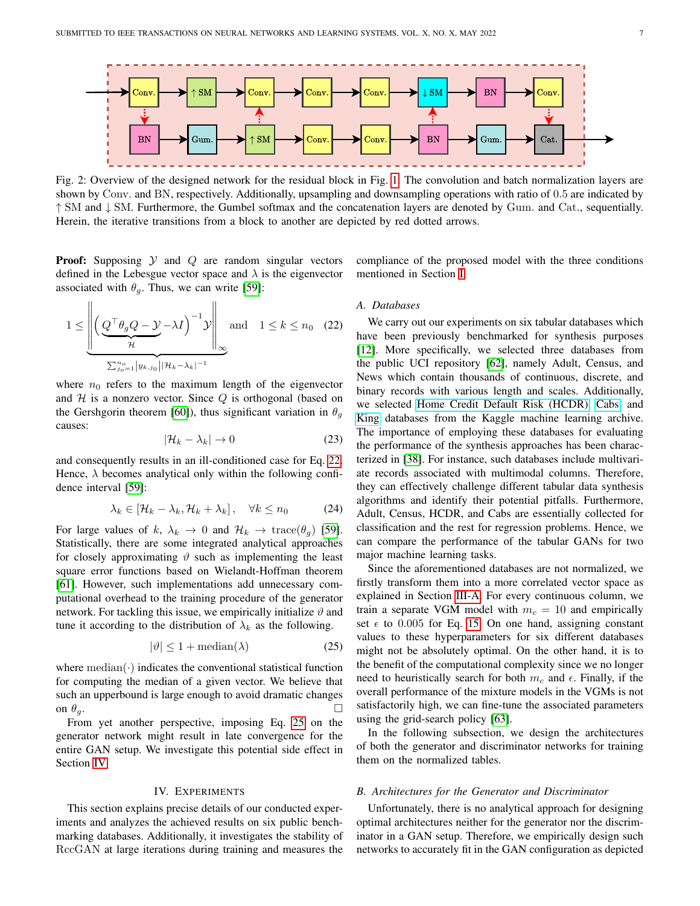<span id="page-6-3"></span>

Fig. 2: Overview of the designed network for the residual block in Fig. [1.](#page-5-0) The convolution and batch normalization layers are shown by Conv. and BN, respectively. Additionally, upsampling and downsampling operations with ratio of 0.5 are indicated by ↑ SM and ↓ SM. Furthermore, the Gumbel softmax and the concatenation layers are denoted by Gum. and Cat., sequentially. Herein, the iterative transitions from a block to another are depicted by red dotted arrows.

**Proof:** Supposing  $Y$  and  $Q$  are random singular vectors defined in the Lebesgue vector space and  $\lambda$  is the eigenvector associated with  $\theta_g$ . Thus, we can write [\[59\]](#page-12-47):

$$
1 \leq \underbrace{\left\| \left( \underbrace{Q^{\top} \theta_g Q - \mathcal{Y}}_{\mathcal{H}} - \lambda I \right)^{-1} \mathcal{Y} \right\|}_{\sum_{j_0=1}^{n_0} |y_{k,j_0}| |\mathcal{H}_k - \lambda_k|^{-1}} \text{and} \quad 1 \leq k \leq n_0 \quad (22)
$$

where  $n_0$  refers to the maximum length of the eigenvector and  $H$  is a nonzero vector. Since  $Q$  is orthogonal (based on the Gershgorin theorem [\[60\]](#page-12-48)), thus significant variation in  $\theta_a$ causes:

$$
|\mathcal{H}_k - \lambda_k| \to 0 \tag{23}
$$

and consequently results in an ill-conditioned case for Eq. [22.](#page-6-1) Hence,  $\lambda$  becomes analytical only within the following confidence interval [\[59\]](#page-12-47):

$$
\lambda_k \in [\mathcal{H}_k - \lambda_k, \mathcal{H}_k + \lambda_k], \quad \forall k \le n_0 \tag{24}
$$

For large values of k,  $\lambda_k \to 0$  and  $\mathcal{H}_k \to \text{trace}(\theta_g)$  [\[59\]](#page-12-47). Statistically, there are some integrated analytical approaches for closely approximating  $\vartheta$  such as implementing the least square error functions based on Wielandt-Hoffman theorem [\[61\]](#page-12-49). However, such implementations add unnecessary computational overhead to the training procedure of the generator network. For tackling this issue, we empirically initialize  $\vartheta$  and tune it according to the distribution of  $\lambda_k$  as the following.

$$
|\vartheta| \le 1 + \text{median}(\lambda) \tag{25}
$$

where  $median(\cdot)$  indicates the conventional statistical function for computing the median of a given vector. We believe that such an upperbound is large enough to avoid dramatic changes on  $\theta_g$ .

From yet another perspective, imposing Eq. [25](#page-6-2) on the generator network might result in late convergence for the entire GAN setup. We investigate this potential side effect in Section [IV.](#page-6-0)

## IV. EXPERIMENTS

<span id="page-6-0"></span>This section explains precise details of our conducted experiments and analyzes the achieved results on six public benchmarking databases. Additionally, it investigates the stability of RccGAN at large iterations during training and measures the <span id="page-6-1"></span>compliance of the proposed model with the three conditions mentioned in Section [I.](#page-0-1)

### <span id="page-6-4"></span>*A. Databases*

We carry out our experiments on six tabular databases which have been previously benchmarked for synthesis purposes [\[12\]](#page-12-1). More specifically, we selected three databases from the public UCI repository [\[62\]](#page-12-50), namely Adult, Census, and News which contain thousands of continuous, discrete, and binary records with various length and scales. Additionally, we selected [Home Credit Default Risk \(HCDR\),](https://www.kaggle.com/mlg-ulb/creditcardfraud) [Cabs,](https://www.kaggle.com/arashnic/taxi-pricing-with-mobility-analytics) and [King](https://www.kaggle.com/harlfoxem/housesalesprediction) databases from the Kaggle machine learning archive. The importance of employing these databases for evaluating the performance of the synthesis approaches has been characterized in [\[38\]](#page-12-26). For instance, such databases include multivariate records associated with multimodal columns. Therefore, they can effectively challenge different tabular data synthesis algorithms and identify their potential pitfalls. Furthermore, Adult, Census, HCDR, and Cabs are essentially collected for classification and the rest for regression problems. Hence, we can compare the performance of the tabular GANs for two major machine learning tasks.

<span id="page-6-2"></span>Since the aforementioned databases are not normalized, we firstly transform them into a more correlated vector space as explained in Section [III-A.](#page-3-3) For every continuous column, we train a separate VGM model with  $m_c = 10$  and empirically set  $\epsilon$  to 0.005 for Eq. [15.](#page-4-2) On one hand, assigning constant values to these hyperparameters for six different databases might not be absolutely optimal. On the other hand, it is to the benefit of the computational complexity since we no longer need to heuristically search for both  $m_c$  and  $\epsilon$ . Finally, if the overall performance of the mixture models in the VGMs is not satisfactorily high, we can fine-tune the associated parameters using the grid-search policy [\[63\]](#page-12-51).

In the following subsection, we design the architectures of both the generator and discriminator networks for training them on the normalized tables.

## *B. Architectures for the Generator and Discriminator*

Unfortunately, there is no analytical approach for designing optimal architectures neither for the generator nor the discriminator in a GAN setup. Therefore, we empirically design such networks to accurately fit in the GAN configuration as depicted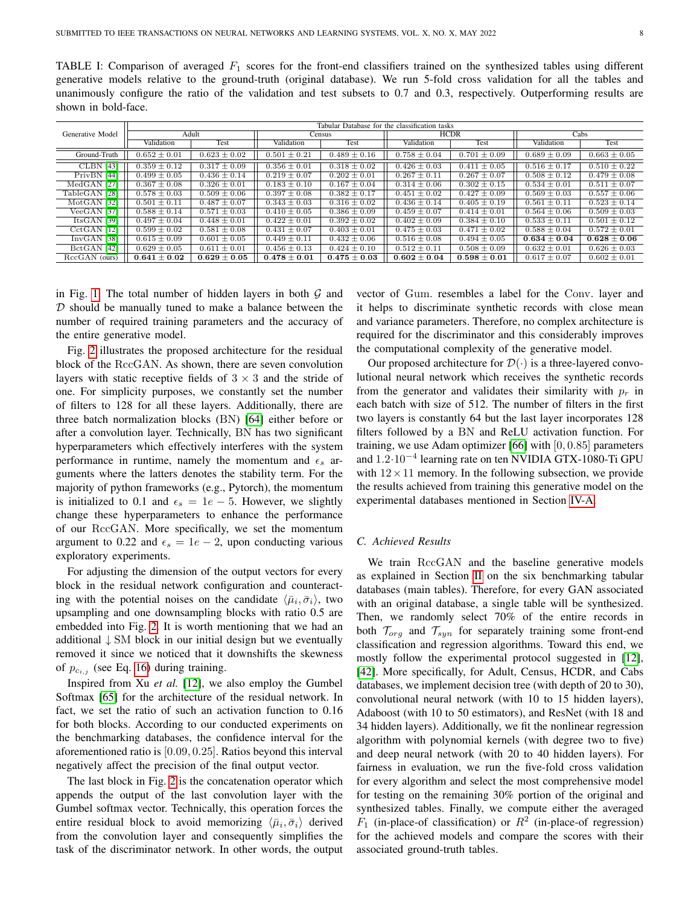<span id="page-7-0"></span>TABLE I: Comparison of averaged  $F_1$  scores for the front-end classifiers trained on the synthesized tables using different generative models relative to the ground-truth (original database). We run 5-fold cross validation for all the tables and unanimously configure the ratio of the validation and test subsets to 0.7 and 0.3, respectively. Outperforming results are shown in bold-face.

|                  | Tabular Database for the classification tasks |                  |                  |                  |                  |                  |                  |                  |  |  |
|------------------|-----------------------------------------------|------------------|------------------|------------------|------------------|------------------|------------------|------------------|--|--|
| Generative Model | Adult                                         |                  | <b>Census</b>    |                  | <b>HCDR</b>      |                  | Cabs             |                  |  |  |
|                  | Validation                                    | Test             | Validation       | Test             | Validation       | Test             | Validation       | Test             |  |  |
| Ground-Truth     | $0.652 \pm 0.01$                              | $0.623 \pm 0.02$ | $0.501 \pm 0.21$ | $0.489 \pm 0.16$ | $0.758 \pm 0.04$ | $0.701 \pm 0.09$ | $0.689 \pm 0.09$ | $0.663 \pm 0.05$ |  |  |
| <b>CLBN</b> [43] | $0.359 \pm 0.12$                              | $0.317 \pm 0.09$ | $0.356 \pm 0.01$ | $0.318 \pm 0.02$ | $0.426 \pm 0.03$ | $0.411 \pm 0.05$ | $0.516 \pm 0.17$ | $0.510 \pm 0.22$ |  |  |
| PrivBN [44]      | $0.499 \pm 0.05$                              | $0.436 \pm 0.14$ | $0.219 \pm 0.07$ | $0.202 \pm 0.01$ | $0.267 \pm 0.11$ | $0.267 \pm 0.07$ | $0.508 \pm 0.12$ | $0.479 \pm 0.08$ |  |  |
| MedGAN [27]      | $0.367 \pm 0.08$                              | $0.326 \pm 0.01$ | $0.183 \pm 0.10$ | $0.167 \pm 0.04$ | $0.314 \pm 0.06$ | $0.302 \pm 0.15$ | $0.534 \pm 0.01$ | $0.511 \pm 0.07$ |  |  |
| TableGAN [28]    | $0.578 \pm 0.03$                              | $0.509 \pm 0.06$ | $0.397 \pm 0.08$ | $0.382 \pm 0.17$ | $0.451 \pm 0.02$ | $0.427 \pm 0.09$ | $0.569 \pm 0.03$ | $0.557 \pm 0.06$ |  |  |
| $MotGAN$ [32]    | $0.501 \pm 0.11$                              | $0.487 \pm 0.07$ | $0.343 \pm 0.03$ | $0.316 \pm 0.02$ | $0.436 \pm 0.14$ | $0.405 \pm 0.19$ | $0.561 \pm 0.11$ | $0.523 \pm 0.14$ |  |  |
| $VeeGAN$ [37]    | $0.588 \pm 0.14$                              | $0.571 \pm 0.03$ | $0.410 \pm 0.05$ | $0.386 \pm 0.09$ | $0.459 \pm 0.07$ | $0.414 \pm 0.01$ | $0.564 \pm 0.06$ | $0.509 \pm 0.03$ |  |  |
| Its GAN [39]     | $0.497 \pm 0.04$                              | $0.448 \pm 0.01$ | $0.422 \pm 0.01$ | $0.392 \pm 0.02$ | $0.402 \pm 0.09$ | $0.384 \pm 0.10$ | $0.533 \pm 0.11$ | $0.501 \pm 0.12$ |  |  |
| $CctGAN$ [12]    | $0.599 \pm 0.02$                              | $0.581 \pm 0.08$ | $0.431 \pm 0.07$ | $0.403 \pm 0.01$ | $0.475 \pm 0.03$ | $0.471 \pm 0.02$ | $0.588 \pm 0.04$ | $0.572 \pm 0.01$ |  |  |
| $InvGAN$ [38]    | $0.615 \pm 0.09$                              | $0.601 \pm 0.05$ | $0.449 \pm 0.11$ | $0.432 \pm 0.06$ | $0.516 \pm 0.08$ | $0.494 \pm 0.05$ | $0.634 \pm 0.04$ | $0.628 \pm 0.06$ |  |  |
| BctGAN [42]      | $0.629 \pm 0.05$                              | $0.611 \pm 0.01$ | $0.456 \pm 0.13$ | $0.424 \pm 0.10$ | $0.512 \pm 0.11$ | $0.508 \pm 0.09$ | $0.632 \pm 0.01$ | $0.626 \pm 0.03$ |  |  |
| $RccGAN$ (ours)  | $0.641 \pm 0.02$                              | $0.629\pm0.05$   | $0.478 \pm 0.01$ | $0.475 \pm 0.03$ | $0.602 \pm 0.04$ | $0.598 \pm 0.01$ | $0.617 \pm 0.07$ | $0.602 \pm 0.01$ |  |  |

in Fig. [1.](#page-5-0) The total number of hidden layers in both  $G$  and  $D$  should be manually tuned to make a balance between the number of required training parameters and the accuracy of the entire generative model.

Fig. [2](#page-6-3) illustrates the proposed architecture for the residual block of the RccGAN. As shown, there are seven convolution layers with static receptive fields of  $3 \times 3$  and the stride of one. For simplicity purposes, we constantly set the number of filters to 128 for all these layers. Additionally, there are three batch normalization blocks (BN) [\[64\]](#page-13-0) either before or after a convolution layer. Technically, BN has two significant hyperparameters which effectively interferes with the system performance in runtime, namely the momentum and  $\epsilon_s$  arguments where the latters denotes the stability term. For the majority of python frameworks (e.g., Pytorch), the momentum is initialized to 0.1 and  $\epsilon_s = 1e - 5$ . However, we slightly change these hyperparameters to enhance the performance of our RccGAN. More specifically, we set the momentum argument to 0.22 and  $\epsilon_s = 1e - 2$ , upon conducting various exploratory experiments.

For adjusting the dimension of the output vectors for every block in the residual network configuration and counteracting with the potential noises on the candidate  $\langle \bar{\mu}_i, \bar{\sigma}_i \rangle$ , two upsampling and one downsampling blocks with ratio 0.5 are embedded into Fig. [2.](#page-6-3) It is worth mentioning that we had an additional ↓ SM block in our initial design but we eventually removed it since we noticed that it downshifts the skewness of  $p_{c_{i,j}}$  (see Eq. [16\)](#page-4-3) during training.

Inspired from Xu *et al.* [\[12\]](#page-12-1), we also employ the Gumbel Softmax [\[65\]](#page-13-1) for the architecture of the residual network. In fact, we set the ratio of such an activation function to 0.16 for both blocks. According to our conducted experiments on the benchmarking databases, the confidence interval for the aforementioned ratio is [0.09, 0.25]. Ratios beyond this interval negatively affect the precision of the final output vector.

The last block in Fig. [2](#page-6-3) is the concatenation operator which appends the output of the last convolution layer with the Gumbel softmax vector. Technically, this operation forces the entire residual block to avoid memorizing  $\langle \bar{\mu}_i, \bar{\sigma}_i \rangle$  derived from the convolution layer and consequently simplifies the task of the discriminator network. In other words, the output vector of Gum. resembles a label for the Conv. layer and it helps to discriminate synthetic records with close mean and variance parameters. Therefore, no complex architecture is required for the discriminator and this considerably improves the computational complexity of the generative model.

Our proposed architecture for  $\mathcal{D}(\cdot)$  is a three-layered convolutional neural network which receives the synthetic records from the generator and validates their similarity with  $p_r$  in each batch with size of 512. The number of filters in the first two layers is constantly 64 but the last layer incorporates 128 filters followed by a BN and ReLU activation function. For training, we use Adam optimizer  $[66]$  with  $[0, 0.85]$  parameters and 1.2·10<sup>−</sup><sup>4</sup> learning rate on ten NVIDIA GTX-1080-Ti GPU with  $12 \times 11$  memory. In the following subsection, we provide the results achieved from training this generative model on the experimental databases mentioned in Section [IV-A.](#page-6-4)

## *C. Achieved Results*

We train RccGAN and the baseline generative models as explained in Section [II](#page-1-0) on the six benchmarking tabular databases (main tables). Therefore, for every GAN associated with an original database, a single table will be synthesized. Then, we randomly select 70% of the entire records in both  $\mathcal{T}_{org}$  and  $\mathcal{T}_{syn}$  for separately training some front-end classification and regression algorithms. Toward this end, we mostly follow the experimental protocol suggested in [\[12\]](#page-12-1), [\[42\]](#page-12-30). More specifically, for Adult, Census, HCDR, and Cabs databases, we implement decision tree (with depth of 20 to 30), convolutional neural network (with 10 to 15 hidden layers), Adaboost (with 10 to 50 estimators), and ResNet (with 18 and 34 hidden layers). Additionally, we fit the nonlinear regression algorithm with polynomial kernels (with degree two to five) and deep neural network (with 20 to 40 hidden layers). For fairness in evaluation, we run the five-fold cross validation for every algorithm and select the most comprehensive model for testing on the remaining 30% portion of the original and synthesized tables. Finally, we compute either the averaged  $F_1$  (in-place-of classification) or  $R^2$  (in-place-of regression) for the achieved models and compare the scores with their associated ground-truth tables.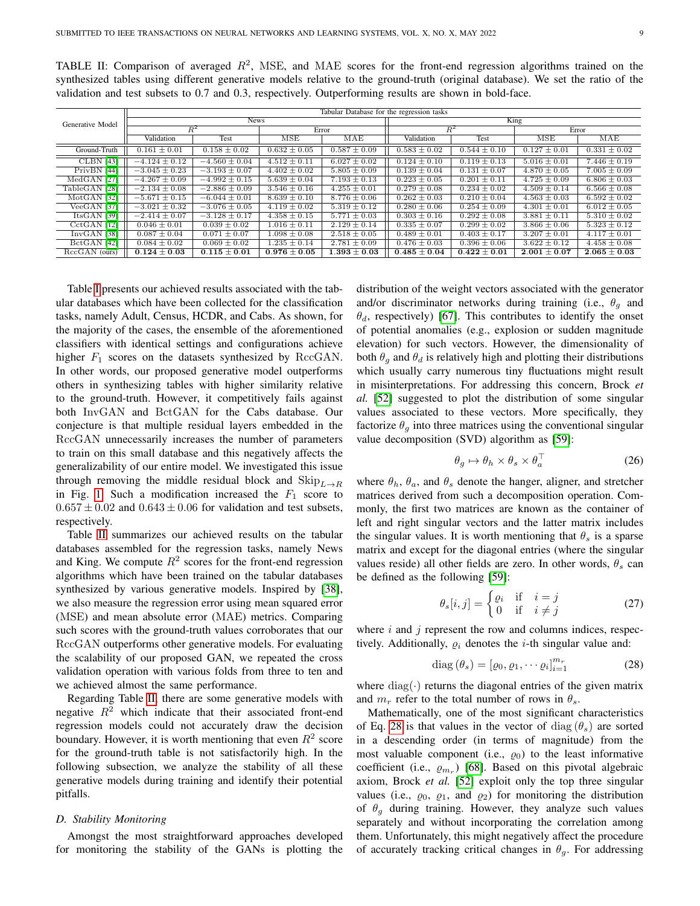| Generative Model | Tabular Database for the regression tasks |                   |                             |                  |                    |                  |                  |                  |  |  |
|------------------|-------------------------------------------|-------------------|-----------------------------|------------------|--------------------|------------------|------------------|------------------|--|--|
|                  |                                           | <b>News</b>       |                             |                  | King               |                  |                  |                  |  |  |
|                  |                                           | $R^2$             |                             | Error            |                    | $R^2$            | Error            |                  |  |  |
|                  | Validation                                | Test              | MSE                         | MAE              | Validation<br>Test |                  | <b>MSE</b>       | MAE              |  |  |
| Ground-Truth     | $0.161 \pm 0.01$                          | $0.158 \pm 0.02$  | $0.632 \pm 0.05$            | $0.587 \pm 0.09$ | $0.583 \pm 0.02$   | $0.544 \pm 0.10$ | $0.127 \pm 0.01$ | $0.331 \pm 0.02$ |  |  |
| <b>CLBN</b> [43] | $-4.124 \pm 0.12$                         | $-4.560 \pm 0.04$ | $\overline{4.512} \pm 0.11$ | $6.027 \pm 0.02$ | $0.124 \pm 0.10$   | $0.119 \pm 0.13$ | $5.016 \pm 0.01$ | $7.446 \pm 0.19$ |  |  |
| PrivBN [44]      | $-3.045 \pm 0.23$                         | $-3.193 \pm 0.07$ | $4.402 \pm 0.02$            | $5.805 \pm 0.09$ | $0.139 \pm 0.04$   | $0.131 \pm 0.07$ | $4.870 \pm 0.05$ | $7.005 \pm 0.09$ |  |  |
| MedGAN [27]      | $-4.267 \pm 0.09$                         | $-4.992 \pm 0.15$ | $5.639 \pm 0.04$            | $7.193 \pm 0.13$ | $0.223 \pm 0.05$   | $0.201 \pm 0.11$ | $4.725 \pm 0.09$ | $6.806 \pm 0.03$ |  |  |
| TableGAN [28]    | $-2.134 \pm 0.08$                         | $-2.886 \pm 0.09$ | $3.546 \pm 0.16$            | $4.255 \pm 0.01$ | $0.279 \pm 0.08$   | $0.234 \pm 0.02$ | $4.509 \pm 0.14$ | $6.566 \pm 0.08$ |  |  |
| $MotGAN$ [32]    | $-5.671 \pm 0.15$                         | $-6.044 \pm 0.01$ | $8.639 \pm 0.10$            | $8.776 \pm 0.06$ | $0.262 \pm 0.03$   | $0.210 \pm 0.04$ | $4.563 \pm 0.03$ | $6.592 \pm 0.02$ |  |  |
| VeeGAN [37]      | $-3.021 \pm 0.32$                         | $-3.076 \pm 0.05$ | $4.119 \pm 0.02$            | $5.319 \pm 0.12$ | $0.280 \pm 0.06$   | $0.254 \pm 0.09$ | $4.301 \pm 0.01$ | $6.012 \pm 0.05$ |  |  |
| ItsGAN $[39]$    | $-2.414 \pm 0.07$                         | $-3.128 \pm 0.17$ | $4.358 \pm 0.15$            | $5.771 \pm 0.03$ | $0.303 \pm 0.16$   | $0.292 \pm 0.08$ | $3.881 \pm 0.11$ | $5.310 \pm 0.02$ |  |  |
| $CctGAN$ [12]    | $0.046 \pm 0.01$                          | $0.039 \pm 0.02$  | $1.016 \pm 0.11$            | $2.129 \pm 0.14$ | $0.335 \pm 0.07$   | $0.299 \pm 0.02$ | $3.866 \pm 0.06$ | $5.323 \pm 0.12$ |  |  |
| $InvGAN$ [38]    | $0.087 \pm 0.04$                          | $0.071 \pm 0.07$  | $1.098 \pm 0.08$            | $2.518 \pm 0.05$ | $0.489 \pm 0.01$   | $0.403 \pm 0.17$ | $3.207 \pm 0.01$ | $4.117 \pm 0.01$ |  |  |
| BctGAN [42]      | $0.084 \pm 0.02$                          | $0.069 \pm 0.02$  | $1.235 \pm 0.14$            | $2.781 \pm 0.09$ | $0.476 \pm 0.03$   | $0.396 \pm 0.06$ | $3.622 \pm 0.12$ | $4.458 \pm 0.08$ |  |  |
| RccGAN (ours)    | $0.124 \pm 0.03$                          | $0.115 \pm 0.01$  | $0.976 \pm 0.05$            | $1.393 \pm 0.03$ | $0.485 \pm 0.04$   | $0.422 \pm 0.01$ | $2.001 \pm 0.07$ | $2.065 \pm 0.03$ |  |  |

<span id="page-8-0"></span>TABLE II: Comparison of averaged  $R^2$ , MSE, and MAE scores for the front-end regression algorithms trained on the synthesized tables using different generative models relative to the ground-truth (original database). We set the ratio of the validation and test subsets to 0.7 and 0.3, respectively. Outperforming results are shown in bold-face.

Table [I](#page-7-0) presents our achieved results associated with the tabular databases which have been collected for the classification tasks, namely Adult, Census, HCDR, and Cabs. As shown, for the majority of the cases, the ensemble of the aforementioned classifiers with identical settings and configurations achieve higher  $F_1$  scores on the datasets synthesized by RccGAN. In other words, our proposed generative model outperforms others in synthesizing tables with higher similarity relative to the ground-truth. However, it competitively fails against both InvGAN and BctGAN for the Cabs database. Our conjecture is that multiple residual layers embedded in the RccGAN unnecessarily increases the number of parameters to train on this small database and this negatively affects the generalizability of our entire model. We investigated this issue through removing the middle residual block and  $\text{Skip}_{L\rightarrow R}$ in Fig. [1.](#page-5-0) Such a modification increased the  $F_1$  score to  $0.657 \pm 0.02$  and  $0.643 \pm 0.06$  for validation and test subsets, respectively.

Table [II](#page-8-0) summarizes our achieved results on the tabular databases assembled for the regression tasks, namely News and King. We compute  $R^2$  scores for the front-end regression algorithms which have been trained on the tabular databases synthesized by various generative models. Inspired by [\[38\]](#page-12-26), we also measure the regression error using mean squared error (MSE) and mean absolute error (MAE) metrics. Comparing such scores with the ground-truth values corroborates that our RccGAN outperforms other generative models. For evaluating the scalability of our proposed GAN, we repeated the cross validation operation with various folds from three to ten and we achieved almost the same performance.

Regarding Table [II,](#page-8-0) there are some generative models with negative  $R^2$  which indicate that their associated front-end regression models could not accurately draw the decision boundary. However, it is worth mentioning that even  $R^2$  score for the ground-truth table is not satisfactorily high. In the following subsection, we analyze the stability of all these generative models during training and identify their potential pitfalls.

#### *D. Stability Monitoring*

Amongst the most straightforward approaches developed for monitoring the stability of the GANs is plotting the distribution of the weight vectors associated with the generator and/or discriminator networks during training (i.e.,  $\theta_{q}$  and  $\theta_d$ , respectively) [\[67\]](#page-13-3). This contributes to identify the onset of potential anomalies (e.g., explosion or sudden magnitude elevation) for such vectors. However, the dimensionality of both  $\theta_g$  and  $\theta_d$  is relatively high and plotting their distributions which usually carry numerous tiny fluctuations might result in misinterpretations. For addressing this concern, Brock *et al.* [\[52\]](#page-12-40) suggested to plot the distribution of some singular values associated to these vectors. More specifically, they factorize  $\theta_a$  into three matrices using the conventional singular value decomposition (SVD) algorithm as [\[59\]](#page-12-47):

$$
\theta_g \mapsto \theta_h \times \theta_s \times \theta_a^{\top}
$$
 (26)

where  $\theta_h$ ,  $\theta_a$ , and  $\theta_s$  denote the hanger, aligner, and stretcher matrices derived from such a decomposition operation. Commonly, the first two matrices are known as the container of left and right singular vectors and the latter matrix includes the singular values. It is worth mentioning that  $\theta_s$  is a sparse matrix and except for the diagonal entries (where the singular values reside) all other fields are zero. In other words,  $\theta_s$  can be defined as the following [\[59\]](#page-12-47):

<span id="page-8-1"></span>
$$
\theta_s[i,j] = \begin{cases} \varrho_i & \text{if } i = j \\ 0 & \text{if } i \neq j \end{cases}
$$
 (27)

where  $i$  and  $j$  represent the row and columns indices, respectively. Additionally,  $\rho_i$  denotes the *i*-th singular value and:

$$
diag(\theta_s) = [\varrho_0, \varrho_1, \cdots \varrho_i]_{i=1}^{m_r}
$$
 (28)

where  $diag(\cdot)$  returns the diagonal entries of the given matrix and  $m_r$  refer to the total number of rows in  $\theta_s$ .

Mathematically, one of the most significant characteristics of Eq. [28](#page-8-1) is that values in the vector of diag  $(\theta_s)$  are sorted in a descending order (in terms of magnitude) from the most valuable component (i.e.,  $\varrho_0$ ) to the least informative coefficient (i.e.,  $\varrho_{m_r}$ ) [\[68\]](#page-13-4). Based on this pivotal algebraic axiom, Brock *et al.* [\[52\]](#page-12-40) exploit only the top three singular values (i.e.,  $\varrho_0$ ,  $\varrho_1$ , and  $\varrho_2$ ) for monitoring the distribution of  $\theta_g$  during training. However, they analyze such values separately and without incorporating the correlation among them. Unfortunately, this might negatively affect the procedure of accurately tracking critical changes in  $\theta_q$ . For addressing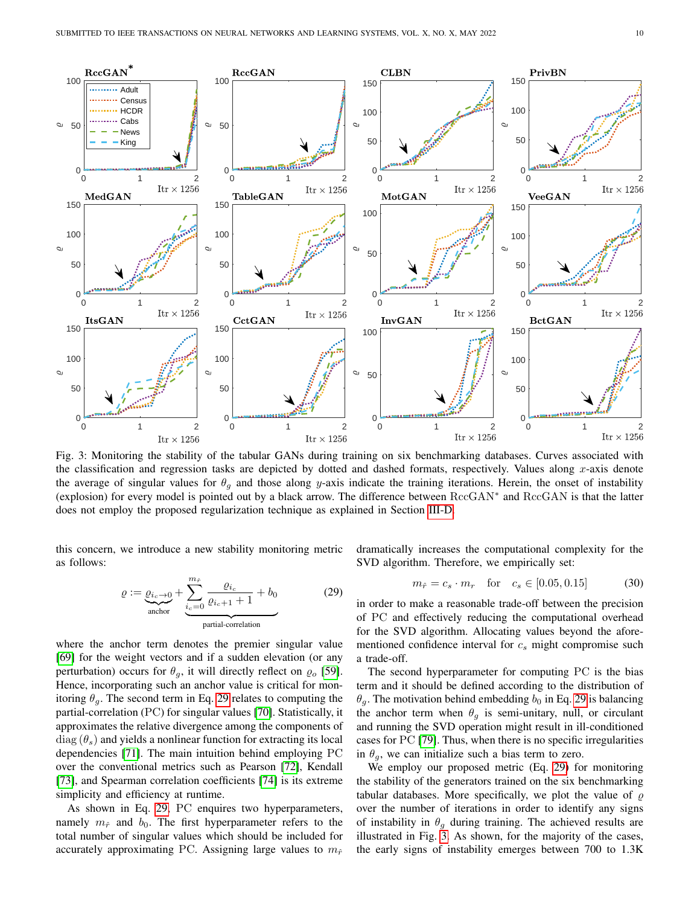<span id="page-9-1"></span>

Fig. 3: Monitoring the stability of the tabular GANs during training on six benchmarking databases. Curves associated with the classification and regression tasks are depicted by dotted and dashed formats, respectively. Values along  $x$ -axis denote the average of singular values for  $\theta_q$  and those along y-axis indicate the training iterations. Herein, the onset of instability (explosion) for every model is pointed out by a black arrow. The difference between RccGAN<sup>∗</sup> and RccGAN is that the latter does not employ the proposed regularization technique as explained in Section [III-D.](#page-5-1)

this concern, we introduce a new stability monitoring metric as follows:

<span id="page-9-0"></span>
$$
\varrho := \underbrace{\varrho_{i_c \to 0}}_{\text{anchor}} + \underbrace{\sum_{i_c=0}^{m_{\hat{r}}} \frac{\varrho_{i_c}}{\varrho_{i_c+1} + 1} + b_0}_{\text{partial-correlation}} \tag{29}
$$

where the anchor term denotes the premier singular value [\[69\]](#page-13-5) for the weight vectors and if a sudden elevation (or any perturbation) occurs for  $\theta_g$ , it will directly reflect on  $\varrho_o$  [\[59\]](#page-12-47). Hence, incorporating such an anchor value is critical for monitoring  $\theta_q$ . The second term in Eq. [29](#page-9-0) relates to computing the partial-correlation (PC) for singular values [\[70\]](#page-13-6). Statistically, it approximates the relative divergence among the components of  $diag(\theta_s)$  and yields a nonlinear function for extracting its local dependencies [\[71\]](#page-13-7). The main intuition behind employing PC over the conventional metrics such as Pearson [\[72\]](#page-13-8), Kendall [\[73\]](#page-13-9), and Spearman correlation coefficients [\[74\]](#page-13-10) is its extreme simplicity and efficiency at runtime.

As shown in Eq. [29,](#page-9-0) PC enquires two hyperparameters, namely  $m_{\hat{r}}$  and  $b_0$ . The first hyperparameter refers to the total number of singular values which should be included for accurately approximating PC. Assigning large values to  $m_{\hat{r}}$  dramatically increases the computational complexity for the SVD algorithm. Therefore, we empirically set:

$$
m_{\hat{r}} = c_s \cdot m_r
$$
 for  $c_s \in [0.05, 0.15]$  (30)

in order to make a reasonable trade-off between the precision of PC and effectively reducing the computational overhead for the SVD algorithm. Allocating values beyond the aforementioned confidence interval for  $c_s$  might compromise such a trade-off.

The second hyperparameter for computing PC is the bias term and it should be defined according to the distribution of  $\theta_a$ . The motivation behind embedding  $b_0$  in Eq. [29](#page-9-0) is balancing the anchor term when  $\theta_q$  is semi-unitary, null, or circulant and running the SVD operation might result in ill-conditioned cases for PC [\[79\]](#page-13-11). Thus, when there is no specific irregularities in  $\theta_a$ , we can initialize such a bias term to zero.

We employ our proposed metric (Eq. [29\)](#page-9-0) for monitoring the stability of the generators trained on the six benchmarking tabular databases. More specifically, we plot the value of  $\rho$ over the number of iterations in order to identify any signs of instability in  $\theta_g$  during training. The achieved results are illustrated in Fig. [3.](#page-9-1) As shown, for the majority of the cases, the early signs of instability emerges between 700 to 1.3K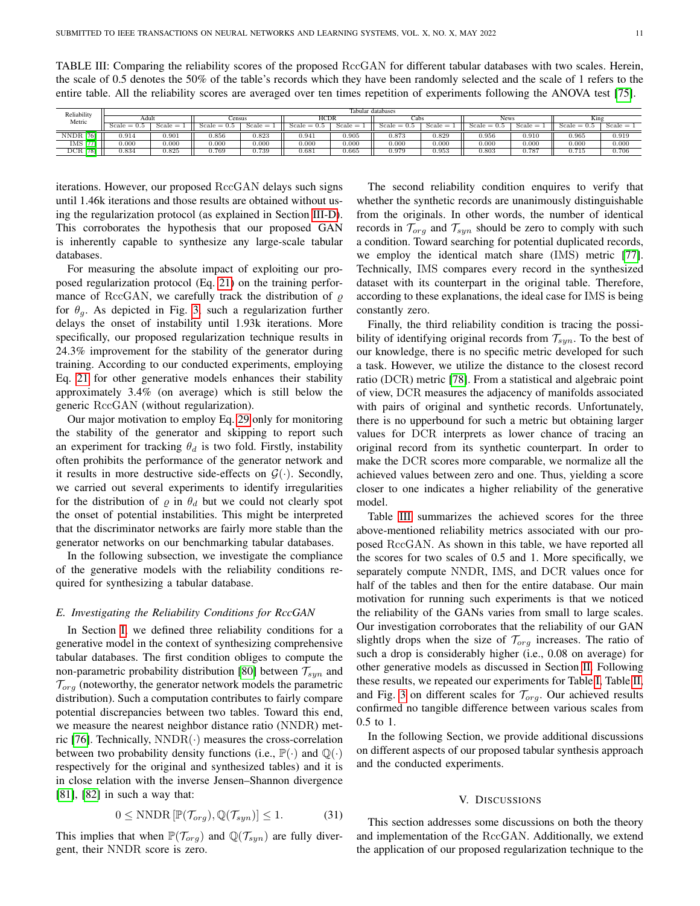<span id="page-10-1"></span>TABLE III: Comparing the reliability scores of the proposed RccGAN for different tabular databases with two scales. Herein, the scale of 0.5 denotes the 50% of the table's records which they have been randomly selected and the scale of 1 refers to the entire table. All the reliability scores are averaged over ten times repetition of experiments following the ANOVA test [\[75\]](#page-13-12).

| Reliability<br>Metric | Tabular databases |           |               |           |               |              |                     |              |               |           |               |             |
|-----------------------|-------------------|-----------|---------------|-----------|---------------|--------------|---------------------|--------------|---------------|-----------|---------------|-------------|
|                       | Adult             |           | <b>Census</b> |           | <b>HCDR</b>   |              | Cabs                |              | <b>News</b>   |           | King          |             |
|                       | $Scale =$         | $Scale =$ | $Scale = 0.5$ | $Scale =$ | $Scale = 0.5$ | Scale<br>$=$ | icale<br>$=$<br>U.5 | Scale<br>$=$ | $Scale = 0.5$ | $Scale =$ | $Scale = 0.5$ | $Scale = 1$ |
| <b>NNDR</b><br>76ì    | ).914             | 0.901     | 0.856         | 0.823     | 0.941         | 0.905        | 0.873               | 0.829        | 0.956         | 0.910     | 0.965         | 0.919       |
| <b>IMS</b>            | $_{0.000}$        | 0.000     | 0.000         | 0.000     | 0.000         | 0.000        | 0.000               | 0.000        | 0.000         | 0.000     | 0.000         | 0.000       |
| <b>DCR</b> [78]       | 0.834             | 0.825     | 0.769         | 0.739     | 0.681         | 0.665        | 0.979               | 0.953        | 0.803         | 0.787     | 0.715         | 0.706       |

iterations. However, our proposed RccGAN delays such signs until 1.46k iterations and those results are obtained without using the regularization protocol (as explained in Section [III-D\)](#page-5-1). This corroborates the hypothesis that our proposed GAN is inherently capable to synthesize any large-scale tabular databases.

For measuring the absolute impact of exploiting our proposed regularization protocol (Eq. [21\)](#page-5-2) on the training performance of RccGAN, we carefully track the distribution of  $\rho$ for  $\theta_q$ . As depicted in Fig. [3,](#page-9-1) such a regularization further delays the onset of instability until 1.93k iterations. More specifically, our proposed regularization technique results in 24.3% improvement for the stability of the generator during training. According to our conducted experiments, employing Eq. [21](#page-5-2) for other generative models enhances their stability approximately 3.4% (on average) which is still below the generic RccGAN (without regularization).

Our major motivation to employ Eq. [29](#page-9-0) only for monitoring the stability of the generator and skipping to report such an experiment for tracking  $\theta_d$  is two fold. Firstly, instability often prohibits the performance of the generator network and it results in more destructive side-effects on  $G(\cdot)$ . Secondly, we carried out several experiments to identify irregularities for the distribution of  $\rho$  in  $\theta_d$  but we could not clearly spot the onset of potential instabilities. This might be interpreted that the discriminator networks are fairly more stable than the generator networks on our benchmarking tabular databases.

In the following subsection, we investigate the compliance of the generative models with the reliability conditions required for synthesizing a tabular database.

#### *E. Investigating the Reliability Conditions for RccGAN*

In Section [I,](#page-0-1) we defined three reliability conditions for a generative model in the context of synthesizing comprehensive tabular databases. The first condition obliges to compute the non-parametric probability distribution [\[80\]](#page-13-16) between  $\mathcal{T}_{syn}$  and  $\mathcal{T}_{org}$  (noteworthy, the generator network models the parametric distribution). Such a computation contributes to fairly compare potential discrepancies between two tables. Toward this end, we measure the nearest neighbor distance ratio (NNDR) met-ric [\[76\]](#page-13-13). Technically,  $NNDR(\cdot)$  measures the cross-correlation between two probability density functions (i.e.,  $\mathbb{P}(\cdot)$  and  $\mathbb{Q}(\cdot)$ respectively for the original and synthesized tables) and it is in close relation with the inverse Jensen–Shannon divergence [\[81\]](#page-13-17), [\[82\]](#page-13-18) in such a way that:

$$
0 \leq \text{NNDR}\left[\mathbb{P}(\mathcal{T}_{org}), \mathbb{Q}(\mathcal{T}_{syn})\right] \leq 1. \tag{31}
$$

This implies that when  $\mathbb{P}(\mathcal{T}_{org})$  and  $\mathbb{Q}(\mathcal{T}_{syn})$  are fully divergent, their NNDR score is zero.

The second reliability condition enquires to verify that whether the synthetic records are unanimously distinguishable from the originals. In other words, the number of identical records in  $\mathcal{T}_{org}$  and  $\mathcal{T}_{syn}$  should be zero to comply with such a condition. Toward searching for potential duplicated records, we employ the identical match share (IMS) metric [\[77\]](#page-13-14). Technically, IMS compares every record in the synthesized dataset with its counterpart in the original table. Therefore, according to these explanations, the ideal case for IMS is being constantly zero.

Finally, the third reliability condition is tracing the possibility of identifying original records from  $\mathcal{T}_{syn}$ . To the best of our knowledge, there is no specific metric developed for such a task. However, we utilize the distance to the closest record ratio (DCR) metric [\[78\]](#page-13-15). From a statistical and algebraic point of view, DCR measures the adjacency of manifolds associated with pairs of original and synthetic records. Unfortunately, there is no upperbound for such a metric but obtaining larger values for DCR interprets as lower chance of tracing an original record from its synthetic counterpart. In order to make the DCR scores more comparable, we normalize all the achieved values between zero and one. Thus, yielding a score closer to one indicates a higher reliability of the generative model.

Table [III](#page-10-1) summarizes the achieved scores for the three above-mentioned reliability metrics associated with our proposed RccGAN. As shown in this table, we have reported all the scores for two scales of 0.5 and 1. More specifically, we separately compute NNDR, IMS, and DCR values once for half of the tables and then for the entire database. Our main motivation for running such experiments is that we noticed the reliability of the GANs varies from small to large scales. Our investigation corroborates that the reliability of our GAN slightly drops when the size of  $\mathcal{T}_{org}$  increases. The ratio of such a drop is considerably higher (i.e., 0.08 on average) for other generative models as discussed in Section [II.](#page-1-0) Following these results, we repeated our experiments for Table [I,](#page-7-0) Table [II,](#page-8-0) and Fig. [3](#page-9-1) on different scales for  $\mathcal{T}_{org}$ . Our achieved results confirmed no tangible difference between various scales from 0.5 to 1.

In the following Section, we provide additional discussions on different aspects of our proposed tabular synthesis approach and the conducted experiments.

## V. DISCUSSIONS

<span id="page-10-0"></span>This section addresses some discussions on both the theory and implementation of the RccGAN. Additionally, we extend the application of our proposed regularization technique to the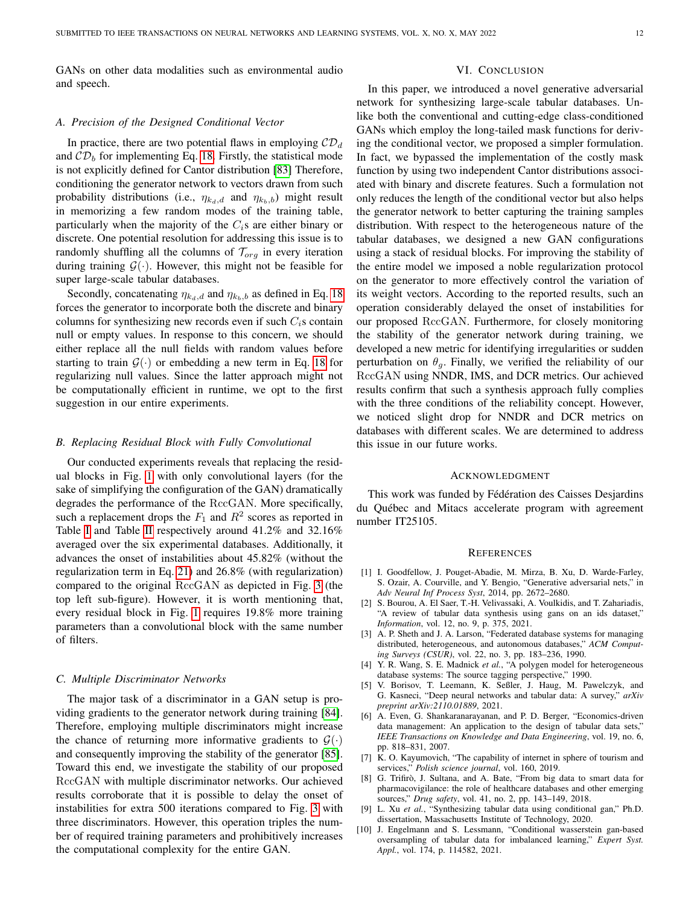GANs on other data modalities such as environmental audio and speech.

#### *A. Precision of the Designed Conditional Vector*

In practice, there are two potential flaws in employing  $CD<sub>d</sub>$ and  $CD<sub>b</sub>$  for implementing Eq. [18.](#page-4-1) Firstly, the statistical mode is not explicitly defined for Cantor distribution [\[83\]](#page-13-19) Therefore, conditioning the generator network to vectors drawn from such probability distributions (i.e.,  $\eta_{k_d,d}$  and  $\eta_{k_b,b}$ ) might result in memorizing a few random modes of the training table, particularly when the majority of the  $C_i$ s are either binary or discrete. One potential resolution for addressing this issue is to randomly shuffling all the columns of  $\mathcal{T}_{org}$  in every iteration during training  $\mathcal{G}(\cdot)$ . However, this might not be feasible for super large-scale tabular databases.

Secondly, concatenating  $\eta_{k_d,d}$  and  $\eta_{k_b,b}$  as defined in Eq. [18](#page-4-1) forces the generator to incorporate both the discrete and binary columns for synthesizing new records even if such  $C_i$ s contain null or empty values. In response to this concern, we should either replace all the null fields with random values before starting to train  $\mathcal{G}(\cdot)$  or embedding a new term in Eq. [18](#page-4-1) for regularizing null values. Since the latter approach might not be computationally efficient in runtime, we opt to the first suggestion in our entire experiments.

#### *B. Replacing Residual Block with Fully Convolutional*

Our conducted experiments reveals that replacing the residual blocks in Fig. [1](#page-5-0) with only convolutional layers (for the sake of simplifying the configuration of the GAN) dramatically degrades the performance of the RccGAN. More specifically, such a replacement drops the  $F_1$  and  $R^2$  scores as reported in Table [I](#page-7-0) and Table [II](#page-8-0) respectively around 41.2% and 32.16% averaged over the six experimental databases. Additionally, it advances the onset of instabilities about 45.82% (without the regularization term in Eq. [21\)](#page-5-2) and 26.8% (with regularization) compared to the original RccGAN as depicted in Fig. [3](#page-9-1) (the top left sub-figure). However, it is worth mentioning that, every residual block in Fig. [1](#page-5-0) requires 19.8% more training parameters than a convolutional block with the same number of filters.

## *C. Multiple Discriminator Networks*

The major task of a discriminator in a GAN setup is providing gradients to the generator network during training [\[84\]](#page-13-20). Therefore, employing multiple discriminators might increase the chance of returning more informative gradients to  $\mathcal{G}(\cdot)$ and consequently improving the stability of the generator [\[85\]](#page-13-21). Toward this end, we investigate the stability of our proposed RccGAN with multiple discriminator networks. Our achieved results corroborate that it is possible to delay the onset of instabilities for extra 500 iterations compared to Fig. [3](#page-9-1) with three discriminators. However, this operation triples the number of required training parameters and prohibitively increases the computational complexity for the entire GAN.

### VI. CONCLUSION

In this paper, we introduced a novel generative adversarial network for synthesizing large-scale tabular databases. Unlike both the conventional and cutting-edge class-conditioned GANs which employ the long-tailed mask functions for deriving the conditional vector, we proposed a simpler formulation. In fact, we bypassed the implementation of the costly mask function by using two independent Cantor distributions associated with binary and discrete features. Such a formulation not only reduces the length of the conditional vector but also helps the generator network to better capturing the training samples distribution. With respect to the heterogeneous nature of the tabular databases, we designed a new GAN configurations using a stack of residual blocks. For improving the stability of the entire model we imposed a noble regularization protocol on the generator to more effectively control the variation of its weight vectors. According to the reported results, such an operation considerably delayed the onset of instabilities for our proposed RccGAN. Furthermore, for closely monitoring the stability of the generator network during training, we developed a new metric for identifying irregularities or sudden perturbation on  $\theta_g$ . Finally, we verified the reliability of our RccGAN using NNDR, IMS, and DCR metrics. Our achieved results confirm that such a synthesis approach fully complies with the three conditions of the reliability concept. However, we noticed slight drop for NNDR and DCR metrics on databases with different scales. We are determined to address this issue in our future works.

#### ACKNOWLEDGMENT

This work was funded by Fédération des Caisses Desjardins du Québec and Mitacs accelerate program with agreement number IT25105.

#### **REFERENCES**

- <span id="page-11-0"></span>[1] I. Goodfellow, J. Pouget-Abadie, M. Mirza, B. Xu, D. Warde-Farley, S. Ozair, A. Courville, and Y. Bengio, "Generative adversarial nets," in *Adv Neural Inf Process Syst*, 2014, pp. 2672–2680.
- <span id="page-11-1"></span>[2] S. Bourou, A. El Saer, T.-H. Velivassaki, A. Voulkidis, and T. Zahariadis, "A review of tabular data synthesis using gans on an ids dataset," *Information*, vol. 12, no. 9, p. 375, 2021.
- <span id="page-11-2"></span>[3] A. P. Sheth and J. A. Larson, "Federated database systems for managing distributed, heterogeneous, and autonomous databases," *ACM Computing Surveys (CSUR)*, vol. 22, no. 3, pp. 183–236, 1990.
- <span id="page-11-3"></span>[4] Y. R. Wang, S. E. Madnick *et al.*, "A polygen model for heterogeneous database systems: The source tagging perspective," 1990.
- <span id="page-11-4"></span>[5] V. Borisov, T. Leemann, K. Seßler, J. Haug, M. Pawelczyk, and G. Kasneci, "Deep neural networks and tabular data: A survey," *arXiv preprint arXiv:2110.01889*, 2021.
- <span id="page-11-5"></span>[6] A. Even, G. Shankaranarayanan, and P. D. Berger, "Economics-driven data management: An application to the design of tabular data sets," *IEEE Transactions on Knowledge and Data Engineering*, vol. 19, no. 6, pp. 818–831, 2007.
- <span id="page-11-6"></span>[7] K. O. Kayumovich, "The capability of internet in sphere of tourism and services," *Polish science journal*, vol. 160, 2019.
- <span id="page-11-7"></span>[8] G. Trifirò, J. Sultana, and A. Bate, "From big data to smart data for pharmacovigilance: the role of healthcare databases and other emerging sources," *Drug safety*, vol. 41, no. 2, pp. 143–149, 2018.
- <span id="page-11-8"></span>[9] L. Xu *et al.*, "Synthesizing tabular data using conditional gan," Ph.D. dissertation, Massachusetts Institute of Technology, 2020.
- <span id="page-11-9"></span>[10] J. Engelmann and S. Lessmann, "Conditional wasserstein gan-based oversampling of tabular data for imbalanced learning," *Expert Syst. Appl.*, vol. 174, p. 114582, 2021.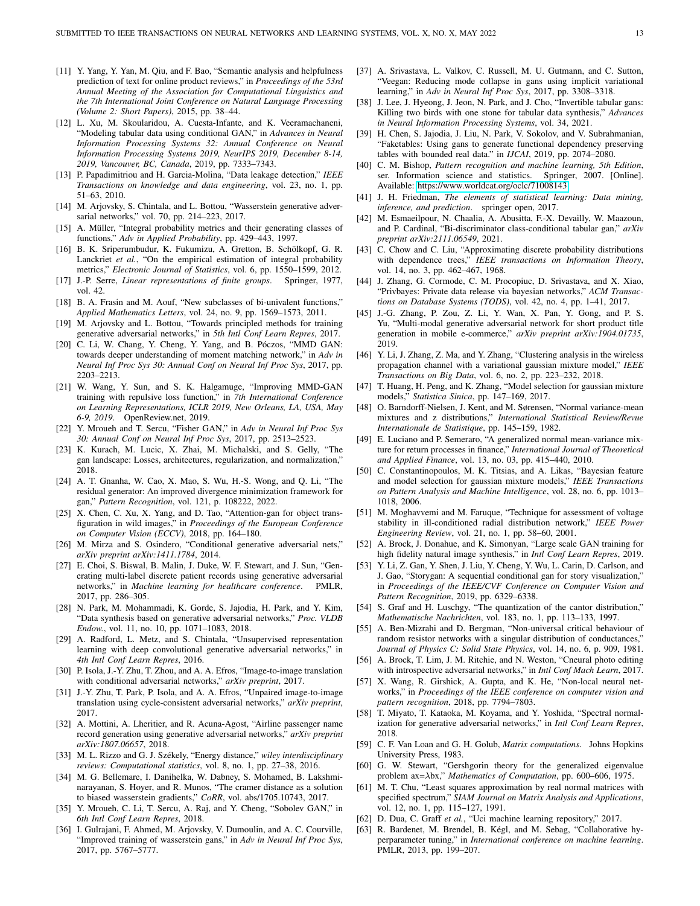- <span id="page-12-0"></span>[11] Y. Yang, Y. Yan, M. Qiu, and F. Bao, "Semantic analysis and helpfulness prediction of text for online product reviews," in *Proceedings of the 53rd Annual Meeting of the Association for Computational Linguistics and the 7th International Joint Conference on Natural Language Processing (Volume 2: Short Papers)*, 2015, pp. 38–44.
- <span id="page-12-1"></span>[12] L. Xu, M. Skoularidou, A. Cuesta-Infante, and K. Veeramachaneni, "Modeling tabular data using conditional GAN," in *Advances in Neural Information Processing Systems 32: Annual Conference on Neural Information Processing Systems 2019, NeurIPS 2019, December 8-14, 2019, Vancouver, BC, Canada*, 2019, pp. 7333–7343.
- <span id="page-12-2"></span>[13] P. Papadimitriou and H. Garcia-Molina, "Data leakage detection," *IEEE Transactions on knowledge and data engineering*, vol. 23, no. 1, pp. 51–63, 2010.
- <span id="page-12-3"></span>[14] M. Arjovsky, S. Chintala, and L. Bottou, "Wasserstein generative adversarial networks," vol. 70, pp. 214–223, 2017.
- <span id="page-12-4"></span>[15] A. Müller, "Integral probability metrics and their generating classes of functions," *Adv in Applied Probability*, pp. 429–443, 1997.
- <span id="page-12-5"></span>[16] B. K. Sriperumbudur, K. Fukumizu, A. Gretton, B. Schölkopf, G. R. Lanckriet *et al.*, "On the empirical estimation of integral probability metrics," *Electronic Journal of Statistics*, vol. 6, pp. 1550–1599, 2012.
- [17] J.-P. Serre, *Linear representations of finite groups*. Springer, 1977, vol. 42.
- <span id="page-12-6"></span>[18] B. A. Frasin and M. Aouf, "New subclasses of bi-univalent functions," *Applied Mathematics Letters*, vol. 24, no. 9, pp. 1569–1573, 2011.
- <span id="page-12-7"></span>[19] M. Arjovsky and L. Bottou, "Towards principled methods for training generative adversarial networks," in *5th Intl Conf Learn Repres*, 2017.
- <span id="page-12-8"></span>[20] C. Li, W. Chang, Y. Cheng, Y. Yang, and B. Póczos, "MMD GAN: towards deeper understanding of moment matching network," in *Adv in Neural Inf Proc Sys 30: Annual Conf on Neural Inf Proc Sys*, 2017, pp. 2203–2213.
- <span id="page-12-9"></span>[21] W. Wang, Y. Sun, and S. K. Halgamuge, "Improving MMD-GAN training with repulsive loss function," in *7th International Conference on Learning Representations, ICLR 2019, New Orleans, LA, USA, May 6-9, 2019*. OpenReview.net, 2019.
- <span id="page-12-10"></span>[22] Y. Mroueh and T. Sercu, "Fisher GAN," in *Adv in Neural Inf Proc Sys 30: Annual Conf on Neural Inf Proc Sys*, 2017, pp. 2513–2523.
- <span id="page-12-11"></span>[23] K. Kurach, M. Lucic, X. Zhai, M. Michalski, and S. Gelly, "The gan landscape: Losses, architectures, regularization, and normalization," 2018.
- <span id="page-12-12"></span>[24] A. T. Gnanha, W. Cao, X. Mao, S. Wu, H.-S. Wong, and Q. Li, "The residual generator: An improved divergence minimization framework for gan," *Pattern Recognition*, vol. 121, p. 108222, 2022.
- <span id="page-12-13"></span>[25] X. Chen, C. Xu, X. Yang, and D. Tao, "Attention-gan for object transfiguration in wild images," in *Proceedings of the European Conference on Computer Vision (ECCV)*, 2018, pp. 164–180.
- <span id="page-12-14"></span>[26] M. Mirza and S. Osindero, "Conditional generative adversarial nets," *arXiv preprint arXiv:1411.1784*, 2014.
- <span id="page-12-15"></span>[27] E. Choi, S. Biswal, B. Malin, J. Duke, W. F. Stewart, and J. Sun, "Generating multi-label discrete patient records using generative adversarial networks," in *Machine learning for healthcare conference*. PMLR, 2017, pp. 286–305.
- <span id="page-12-16"></span>[28] N. Park, M. Mohammadi, K. Gorde, S. Jajodia, H. Park, and Y. Kim, "Data synthesis based on generative adversarial networks," *Proc. VLDB Endow.*, vol. 11, no. 10, pp. 1071–1083, 2018.
- <span id="page-12-17"></span>[29] A. Radford, L. Metz, and S. Chintala, "Unsupervised representation learning with deep convolutional generative adversarial networks," in *4th Intl Conf Learn Repres*, 2016.
- <span id="page-12-18"></span>[30] P. Isola, J.-Y. Zhu, T. Zhou, and A. A. Efros, "Image-to-image translation with conditional adversarial networks," *arXiv preprint*, 2017.
- <span id="page-12-19"></span>[31] J.-Y. Zhu, T. Park, P. Isola, and A. A. Efros, "Unpaired image-to-image translation using cycle-consistent adversarial networks," *arXiv preprint*, 2017.
- <span id="page-12-20"></span>[32] A. Mottini, A. Lheritier, and R. Acuna-Agost, "Airline passenger name record generation using generative adversarial networks," *arXiv preprint arXiv:1807.06657*, 2018.
- <span id="page-12-21"></span>[33] M. L. Rizzo and G. J. Székely, "Energy distance," wiley interdisciplinary *reviews: Computational statistics*, vol. 8, no. 1, pp. 27–38, 2016.
- <span id="page-12-22"></span>[34] M. G. Bellemare, I. Danihelka, W. Dabney, S. Mohamed, B. Lakshminarayanan, S. Hoyer, and R. Munos, "The cramer distance as a solution to biased wasserstein gradients," *CoRR*, vol. abs/1705.10743, 2017.
- <span id="page-12-23"></span>[35] Y. Mroueh, C. Li, T. Sercu, A. Raj, and Y. Cheng, "Sobolev GAN," in *6th Intl Conf Learn Repres*, 2018.
- <span id="page-12-24"></span>[36] I. Gulrajani, F. Ahmed, M. Arjovsky, V. Dumoulin, and A. C. Courville, "Improved training of wasserstein gans," in *Adv in Neural Inf Proc Sys*, 2017, pp. 5767–5777.
- <span id="page-12-25"></span>[37] A. Srivastava, L. Valkov, C. Russell, M. U. Gutmann, and C. Sutton, "Veegan: Reducing mode collapse in gans using implicit variational learning," in *Adv in Neural Inf Proc Sys*, 2017, pp. 3308–3318.
- <span id="page-12-26"></span>[38] J. Lee, J. Hyeong, J. Jeon, N. Park, and J. Cho, "Invertible tabular gans: Killing two birds with one stone for tabular data synthesis," *Advances in Neural Information Processing Systems*, vol. 34, 2021.
- <span id="page-12-27"></span>[39] H. Chen, S. Jajodia, J. Liu, N. Park, V. Sokolov, and V. Subrahmanian, "Faketables: Using gans to generate functional dependency preserving tables with bounded real data." in *IJCAI*, 2019, pp. 2074–2080.
- <span id="page-12-28"></span>[40] C. M. Bishop, *Pattern recognition and machine learning, 5th Edition*, ser. Information science and statistics. Springer, 2007. [Online]. Available:<https://www.worldcat.org/oclc/71008143>
- <span id="page-12-29"></span>[41] J. H. Friedman, *The elements of statistical learning: Data mining, inference, and prediction*. springer open, 2017.
- <span id="page-12-30"></span>[42] M. Esmaeilpour, N. Chaalia, A. Abusitta, F.-X. Devailly, W. Maazoun, and P. Cardinal, "Bi-discriminator class-conditional tabular gan," *arXiv preprint arXiv:2111.06549*, 2021.
- <span id="page-12-31"></span>[43] C. Chow and C. Liu, "Approximating discrete probability distributions with dependence trees," *IEEE transactions on Information Theory*, vol. 14, no. 3, pp. 462–467, 1968.
- <span id="page-12-32"></span>[44] J. Zhang, G. Cormode, C. M. Procopiuc, D. Srivastava, and X. Xiao, "Privbayes: Private data release via bayesian networks," *ACM Transactions on Database Systems (TODS)*, vol. 42, no. 4, pp. 1–41, 2017.
- <span id="page-12-33"></span>[45] J.-G. Zhang, P. Zou, Z. Li, Y. Wan, X. Pan, Y. Gong, and P. S. Yu, "Multi-modal generative adversarial network for short product title generation in mobile e-commerce," *arXiv preprint arXiv:1904.01735*, 2019.
- <span id="page-12-34"></span>[46] Y. Li, J. Zhang, Z. Ma, and Y. Zhang, "Clustering analysis in the wireless propagation channel with a variational gaussian mixture model," *IEEE Transactions on Big Data*, vol. 6, no. 2, pp. 223–232, 2018.
- <span id="page-12-35"></span>[47] T. Huang, H. Peng, and K. Zhang, "Model selection for gaussian mixture models," *Statistica Sinica*, pp. 147–169, 2017.
- <span id="page-12-36"></span>[48] O. Barndorff-Nielsen, J. Kent, and M. Sørensen, "Normal variance-mean mixtures and z distributions," *International Statistical Review/Revue Internationale de Statistique*, pp. 145–159, 1982.
- <span id="page-12-37"></span>[49] E. Luciano and P. Semeraro, "A generalized normal mean-variance mixture for return processes in finance," *International Journal of Theoretical and Applied Finance*, vol. 13, no. 03, pp. 415–440, 2010.
- <span id="page-12-38"></span>[50] C. Constantinopoulos, M. K. Titsias, and A. Likas, "Bayesian feature and model selection for gaussian mixture models," *IEEE Transactions on Pattern Analysis and Machine Intelligence*, vol. 28, no. 6, pp. 1013– 1018, 2006.
- <span id="page-12-39"></span>[51] M. Moghavvemi and M. Faruque, "Technique for assessment of voltage stability in ill-conditioned radial distribution network," *IEEE Power Engineering Review*, vol. 21, no. 1, pp. 58–60, 2001.
- <span id="page-12-40"></span>[52] A. Brock, J. Donahue, and K. Simonyan, "Large scale GAN training for high fidelity natural image synthesis," in *Intl Conf Learn Repres*, 2019.
- <span id="page-12-41"></span>[53] Y. Li, Z. Gan, Y. Shen, J. Liu, Y. Cheng, Y. Wu, L. Carin, D. Carlson, and J. Gao, "Storygan: A sequential conditional gan for story visualization," in *Proceedings of the IEEE/CVF Conference on Computer Vision and Pattern Recognition*, 2019, pp. 6329–6338.
- <span id="page-12-42"></span>[54] S. Graf and H. Luschgy, "The quantization of the cantor distribution," *Mathematische Nachrichten*, vol. 183, no. 1, pp. 113–133, 1997.
- <span id="page-12-43"></span>[55] A. Ben-Mizrahi and D. Bergman, "Non-universal critical behaviour of random resistor networks with a singular distribution of conductances," *Journal of Physics C: Solid State Physics*, vol. 14, no. 6, p. 909, 1981.
- <span id="page-12-44"></span>[56] A. Brock, T. Lim, J. M. Ritchie, and N. Weston, "Cneural photo editing with introspective adversarial networks," in *Intl Conf Mach Learn*, 2017.
- <span id="page-12-45"></span>[57] X. Wang, R. Girshick, A. Gupta, and K. He, "Non-local neural networks," in *Proceedings of the IEEE conference on computer vision and pattern recognition*, 2018, pp. 7794–7803.
- <span id="page-12-46"></span>[58] T. Miyato, T. Kataoka, M. Koyama, and Y. Yoshida, "Spectral normalization for generative adversarial networks," in *Intl Conf Learn Repres*, 2018.
- <span id="page-12-47"></span>[59] C. F. Van Loan and G. H. Golub, *Matrix computations*. Johns Hopkins University Press, 1983.
- <span id="page-12-48"></span>[60] G. W. Stewart, "Gershgorin theory for the generalized eigenvalue problem ax=λbx," *Mathematics of Computation*, pp. 600–606, 1975.
- <span id="page-12-49"></span>[61] M. T. Chu, "Least squares approximation by real normal matrices with specified spectrum," *SIAM Journal on Matrix Analysis and Applications*, vol. 12, no. 1, pp. 115–127, 1991.
- <span id="page-12-50"></span>[62] D. Dua, C. Graff *et al.*, "Uci machine learning repository," 2017.
- <span id="page-12-51"></span>[63] R. Bardenet, M. Brendel, B. Kégl, and M. Sebag, "Collaborative hyperparameter tuning," in *International conference on machine learning*. PMLR, 2013, pp. 199–207.